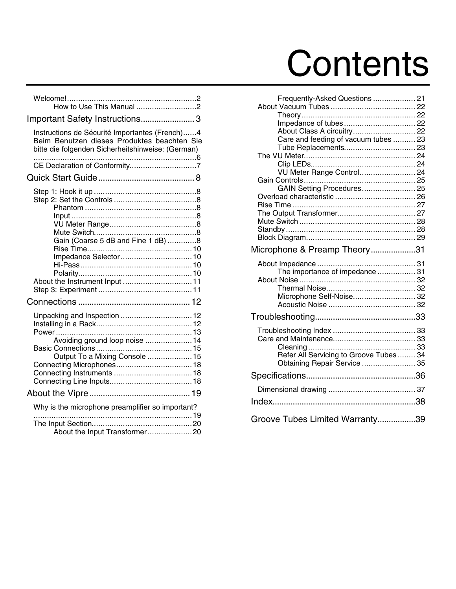# **Contents**

| Welcome!                                                                                                                                           |
|----------------------------------------------------------------------------------------------------------------------------------------------------|
| Important Safety Instructions 3                                                                                                                    |
| Instructions de Sécurité Importantes (French)4<br>Beim Benutzen dieses Produktes beachten Sie<br>bitte die folgenden Sicherheitshinweise: (German) |
|                                                                                                                                                    |
|                                                                                                                                                    |
| Gain (Coarse 5 dB and Fine 1 dB) 8<br>Impedance Selector 10<br>About the Instrument Input  11                                                      |
|                                                                                                                                                    |
| Unpacking and Inspection  12<br>Avoiding ground loop noise  14<br>Output To a Mixing Console  15                                                   |
|                                                                                                                                                    |
| Why is the microphone preamplifier so important?<br>About the Input Transformer20                                                                  |

| Frequently-Asked Questions  21<br>Impedance of tubes 22<br>About Class A circuitry 22 |  |
|---------------------------------------------------------------------------------------|--|
| Care and feeding of vacuum tubes  23<br>Tube Replacements 23                          |  |
|                                                                                       |  |
| VU Meter Range Control 24                                                             |  |
|                                                                                       |  |
| GAIN Setting Procedures 25                                                            |  |
|                                                                                       |  |
|                                                                                       |  |
|                                                                                       |  |
|                                                                                       |  |
|                                                                                       |  |
| Microphone & Preamp Theory31                                                          |  |
| The importance of impedance  31<br>Microphone Self-Noise 32                           |  |
|                                                                                       |  |
| Refer All Servicing to Groove Tubes 34<br>Obtaining Repair Service  35                |  |
|                                                                                       |  |
|                                                                                       |  |
|                                                                                       |  |
| Groove Tubes Limited Warranty39                                                       |  |
|                                                                                       |  |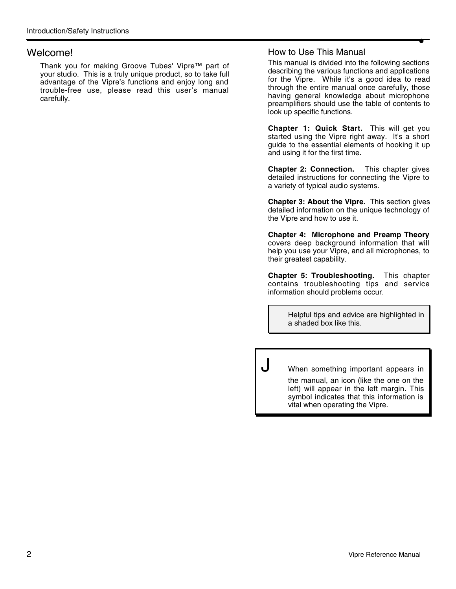## Welcome!

Thank you for making Groove Tubes' Vipre™ part of your studio. This is a truly unique product, so to take full advantage of the Vipre's functions and enjoy long and trouble-free use, please read this user's manual carefully.

#### How to Use This Manual

This manual is divided into the following sections describing the various functions and applications for the Vipre. While it's a good idea to read through the entire manual once carefully, those having general knowledge about microphone preamplifiers should use the table of contents to look up specific functions.

**Chapter 1: Quick Start.** This will get you started using the Vipre right away. It's a short guide to the essential elements of hooking it up and using it for the first time.

**Chapter 2: Connection.** This chapter gives detailed instructions for connecting the Vipre to a variety of typical audio systems.

**Chapter 3: About the Vipre.** This section gives detailed information on the unique technology of the Vipre and how to use it.

**Chapter 4: Microphone and Preamp Theory** covers deep background information that will help you use your Vipre, and all microphones, to their greatest capability.

**Chapter 5: Troubleshooting.** This chapter contains troubleshooting tips and service information should problems occur.

> Helpful tips and advice are highlighted in a shaded box like this.

When something important appears in

the manual, an icon (like the one on the left) will appear in the left margin. This symbol indicates that this information is vital when operating the Vipre.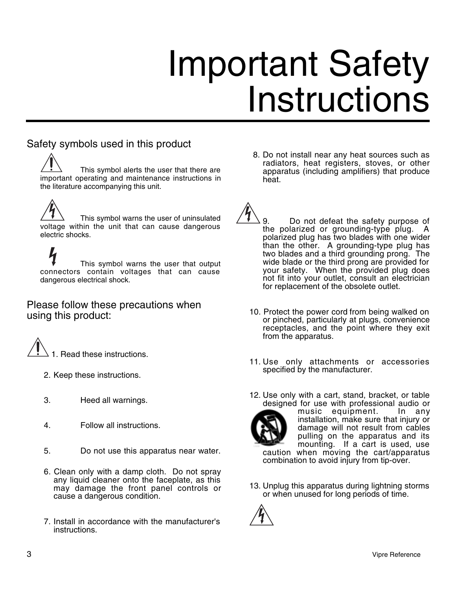# Important Safety Instructions

# Safety symbols used in this product

This symbol alerts the user that there are important operating and maintenance instructions in the literature accompanying this unit.

This symbol warns the user of uninsulated voltage within the unit that can cause dangerous electric shocks.

This symbol warns the user that output connectors contain voltages that can cause dangerous electrical shock.

Please follow these precautions when using this product:



- 2. Keep these instructions.
- 3. Heed all warnings.
- 4. Follow all instructions.
- 5. Do not use this apparatus near water.
- 6. Clean only with a damp cloth. Do not spray any liquid cleaner onto the faceplate, as this may damage the front panel controls or cause a dangerous condition.
- 7. Install in accordance with the manufacturer's instructions.
- 8. Do not install near any heat sources such as radiators, heat registers, stoves, or other apparatus (including amplifiers) that produce heat.
- 9. Do not defeat the safety purpose of the polarized or grounding-type plug. A polarized plug has two blades with one wider than the other. A grounding-type plug has two blades and a third grounding prong. The wide blade or the third prong are provided for your safety. When the provided plug does not fit into your outlet, consult an electrician for replacement of the obsolete outlet.
	- 10. Protect the power cord from being walked on or pinched, particularly at plugs, convenience receptacles, and the point where they exit from the apparatus.
- 11. Use only attachments or accessories specified by the manufacturer.
- 12. Use only with a cart, stand, bracket, or table designed for use with professional audio or



music equipment. In any installation, make sure that injury or damage will not result from cables pulling on the apparatus and its mounting. If a cart is used, use caution when moving the cart/apparatus combination to avoid injury from tip-over.

13. Unplug this apparatus during lightning storms or when unused for long periods of time.

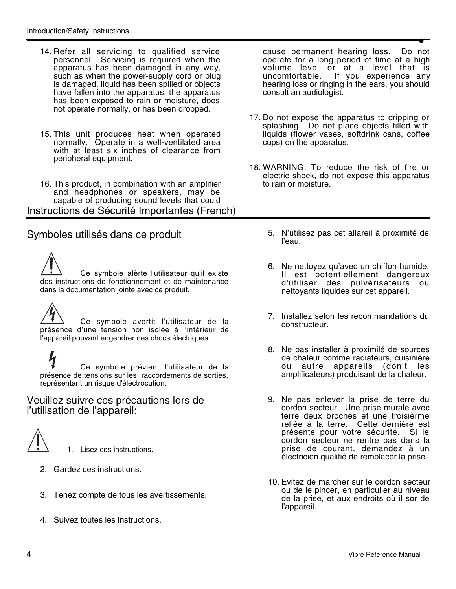- 14. Refer all servicing to qualified service personnel. Servicing is required when the apparatus has been damaged in any way, such as when the power-supply cord or plug is damaged, liquid has been spilled or objects have fallen into the apparatus, the apparatus has been exposed to rain or moisture, does not operate normally, or has been dropped.
- 15. This unit produces heat when operated normally. Operate in a well-ventilated area with at least six inches of clearance from peripheral equipment.
- 16. This product, in combination with an amplifier and headphones or speakers, may be capable of producing sound levels that could Instructions de Sécurité Importantes (French)

# Symboles utilisés dans ce produit

Ce symbole alèrte l'utilisateur qu'il existe des instructions de fonctionnement et de maintenance dans la documentation jointe avec ce produit.

Ce symbole avertit l'utilisateur de la présence d'une tension non isolée à l'intérieur de l'appareil pouvant engendrer des chocs électriques.

 Ce symbole prévient l'utilisateur de la présence de tensions sur les raccordements de sorties, représentant un risque d'électrocution.

Veuillez suivre ces précautions lors de l'utilisation de l'appareil:

1. Lisez ces instructions.

- 2. Gardez ces instructions.
- 3. Tenez compte de tous les avertissements.
- 4. Suivez toutes les instructions.

cause permanent hearing loss. Do not operate for a long period of time at a high volume level or at a level that is uncomfortable. If you experience any hearing loss or ringing in the ears, you should consult an audiologist.

- 17. Do not expose the apparatus to dripping or splashing. Do not place objects filled with liquids (flower vases, softdrink cans, coffee cups) on the apparatus.
- 18. WARNING: To reduce the risk of fire or electric shock, do not expose this apparatus to rain or moisture.
	- 5. N'utilisez pas cet allareil à proximité de l'eau.
	- 6. Ne nettoyez qu'avec un chiffon humide. Il est potentiellement dangereux d'utiliser des pulvérisateurs ou nettoyants liquides sur cet appareil.
	- 7. Installez selon les recommandations du constructeur.
	- 8. Ne pas installer à proximilé de sources de chaleur comme radiateurs, cuisinière ou autre appareils (don't les amplificateurs) produisant de la chaleur.
	- 9. Ne pas enlever la prise de terre du cordon secteur. Une prise murale avec terre deux broches et une troisièrme reliée à la terre. Cette dernière est présente pour votre sécurité. Si le cordon secteur ne rentre pas dans la prise de courant, demandez à un électricien qualifié de remplacer la prise.
	- 10. Evitez de marcher sur le cordon secteur ou de le pincer, en particulier au niveau de la prise, et aux endroits où il sor de l'appareil.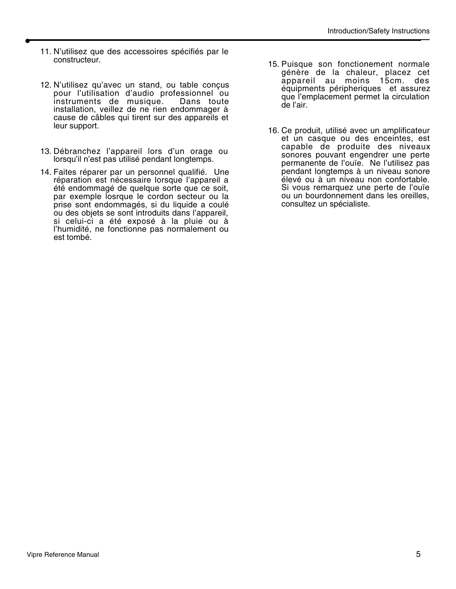- 11. N'utilisez que des accessoires spécifiés par le constructeur.
- 12. N'utilisez qu'avec un stand, ou table conçus pour l'utilisation d'audio professionnel ou<br>instruments de musique. Dans toute instruments de musique. installation, veillez de ne rien endommager à cause de câbles qui tirent sur des appareils et leur support.
- 13. Débranchez l'appareil lors d'un orage ou lorsqu'il n'est pas utilisé pendant longtemps.
- 14. Faites réparer par un personnel qualifié. Une réparation est nécessaire lorsque l'appareil a été endommagé de quelque sorte que ce soit, par exemple losrque le cordon secteur ou la prise sont endommagés, si du liquide a coulé ou des objets se sont introduits dans l'appareil, si celui-ci a été exposé à la pluie ou à l'humidité, ne fonctionne pas normalement ou est tombé.
- 15. Puisque son fonctionement normale génère de la chaleur, placez cet appareil au moins 15cm. des équipments péripheriques et assurez que l'emplacement permet la circulation de l'air.
- 16. Ce produit, utilisé avec un amplificateur et un casque ou des enceintes, est capable de produite des niveaux sonores pouvant engendrer une perte permanente de l'ouïe. Ne l'utilisez pas pendant longtemps à un niveau sonore élevé ou à un niveau non confortable. Si vous remarquez une perte de l'ouïe ou un bourdonnement dans les oreilles, consultez un spécialiste.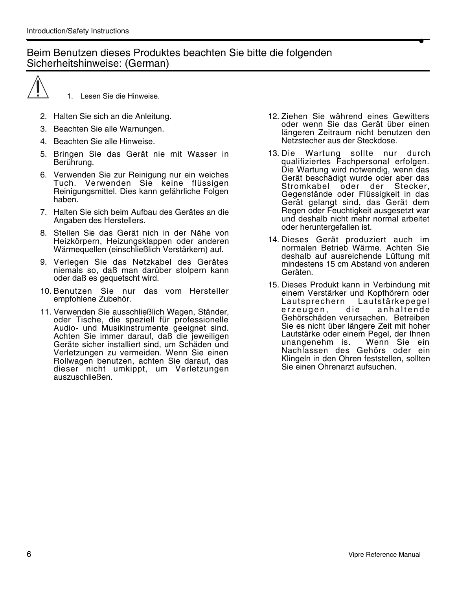# Beim Benutzen dieses Produktes beachten Sie bitte die folgenden Sicherheitshinweise: (German)



1. Lesen Sie die Hinweise.

- 2. Halten Sie sich an die Anleitung.
- 3. Beachten Sie alle Warnungen.
- 4. Beachten Sie alle Hinweise.
- 5. Bringen Sie das Gerät nie mit Wasser in Berührung.
- 6. Verwenden Sie zur Reinigung nur ein weiches Tuch. Verwenden Sie keine flüssigen Reinigungsmittel. Dies kann gefährliche Folgen haben.
- 7. Halten Sie sich beim Aufbau des Gerätes an die Angaben des Herstellers.
- 8. Stellen Sie das Gerät nich in der Nähe von Heizkörpern, Heizungsklappen oder anderen Wärmequellen (einschließlich Verstärkern) auf.
- 9. Verlegen Sie das Netzkabel des Gerätes niemals so, daß man darüber stolpern kann oder daß es gequetscht wird.
- 10. Benutzen Sie nur das vom Hersteller empfohlene Zubehör.
- 11. Verwenden Sie ausschließlich Wagen, Ständer, oder Tische, die speziell für professionelle Audio- und Musikinstrumente geeignet sind. Achten Sie immer darauf, daß die jeweiligen Geräte sicher installiert sind, um Schäden und Verletzungen zu vermeiden. Wenn Sie einen Rollwagen benutzen, achten Sie darauf, das dieser nicht umkippt, um Verletzungen auszuschließen.
- 12. Ziehen Sie während eines Gewitters oder wenn Sie das Gerät über einen längeren Zeitraum nicht benutzen den Netzstecher aus der Steckdose.
- 13. Die Wartung sollte nur durch qualifiziertes Fachpersonal erfolgen. Die Wartung wird notwendig, wenn das Gerät beschädigt wurde oder aber das Stromkabel oder der Stecker, Gegenstände oder Flüssigkeit in das Gerät gelangt sind, das Gerät dem Regen oder Feuchtigkeit ausgesetzt war und deshalb nicht mehr normal arbeitet oder heruntergefallen ist.
- 14. Dieses Gerät produziert auch im normalen Betrieb Wärme. Achten Sie deshalb auf ausreichende Lüftung mit mindestens 15 cm Abstand von anderen Geräten.
- 15. Dieses Produkt kann in Verbindung mit einem Verstärker und Kopfhörern oder Lautstärkepegel erzeugen, die anhaltende Gehörschäden verursachen. Betreiben Sie es nicht über längere Zeit mit hoher Lautstärke oder einem Pegel, der Ihnen<br>unangenehm is. Wenn Sie ein unangenehm is. Nachlassen des Gehörs oder ein Klingeln in den Ohren feststellen, sollten Sie einen Ohrenarzt aufsuchen.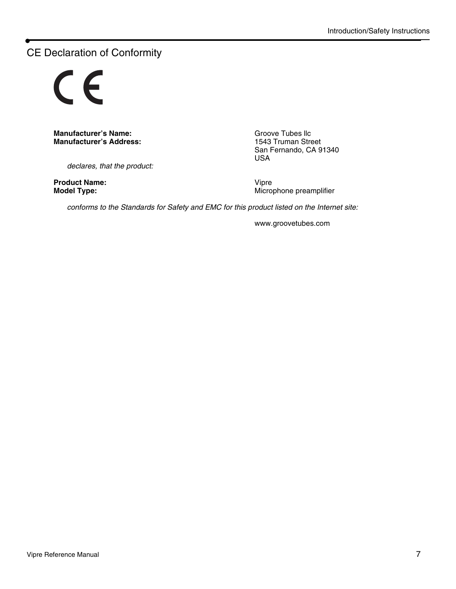# CE Declaration of Conformity

 $\epsilon$ 

**Manufacturer's Name:** Groove Tubes llc **Manufacturer's Address:** 1543 Truman Street

*declares, that the product:*

**Product Name:** Vipre

San Fernando, CA 91340 USA

**Model Type:** Microphone preamplifier

*conforms to the Standards for Safety and EMC for this product listed on the Internet site:*

www.groovetubes.com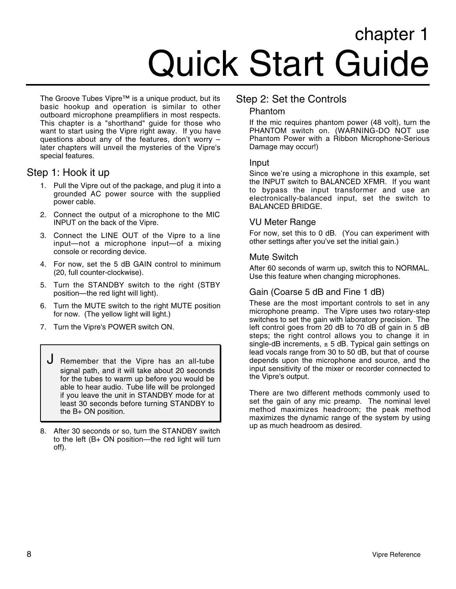# chapter 1 Quick Start Guide

The Groove Tubes Vipre™ is a unique product, but its basic hookup and operation is similar to other outboard microphone preamplifiers in most respects. This chapter is a "shorthand" guide for those who want to start using the Vipre right away. If you have questions about any of the features, don't worry – later chapters will unveil the mysteries of the Vipre's special features.

# Step 1: Hook it up

- 1. Pull the Vipre out of the package, and plug it into a grounded AC power source with the supplied power cable.
- 2. Connect the output of a microphone to the MIC INPUT on the back of the Vipre.
- 3. Connect the LINE OUT of the Vipre to a line input—not a microphone input—of a mixing console or recording device.
- 4. For now, set the 5 dB GAIN control to minimum (20, full counter-clockwise).
- 5. Turn the STANDBY switch to the right (STBY position—the red light will light).
- 6. Turn the MUTE switch to the right MUTE position for now. (The yellow light will light.)
- 7. Turn the Vipre's POWER switch ON.
- Remember that the Vipre has an all-tube signal path, and it will take about 20 seconds for the tubes to warm up before you would be able to hear audio. Tube life will be prolonged if you leave the unit in STANDBY mode for at least 30 seconds before turning STANDBY to the B+ ON position.
- 8. After 30 seconds or so, turn the STANDBY switch to the left (B+ ON position—the red light will turn off).

# Step 2: Set the Controls

#### Phantom

If the mic requires phantom power (48 volt), turn the PHANTOM switch on. (WARNING-DO NOT use Phantom Power with a Ribbon Microphone-Serious Damage may occur!)

#### Input

Since we're using a microphone in this example, set the INPUT switch to BALANCED XFMR. If you want to bypass the input transformer and use an electronically-balanced input, set the switch to BALANCED BRIDGE.

#### VU Meter Range

For now, set this to 0 dB. (You can experiment with other settings after you've set the initial gain.)

#### Mute Switch

After 60 seconds of warm up, switch this to NORMAL. Use this feature when changing microphones.

### Gain (Coarse 5 dB and Fine 1 dB)

These are the most important controls to set in any microphone preamp. The Vipre uses two rotary-step switches to set the gain with laboratory precision. The left control goes from 20 dB to 70 dB of gain in 5 dB steps; the right control allows you to change it in single-dB increments,  $\pm$  5 dB. Typical gain settings on lead vocals range from 30 to 50 dB, but that of course depends upon the microphone and source, and the input sensitivity of the mixer or recorder connected to the Vipre's output.

There are two different methods commonly used to set the gain of any mic preamp. The nominal level method maximizes headroom; the peak method maximizes the dynamic range of the system by using up as much headroom as desired.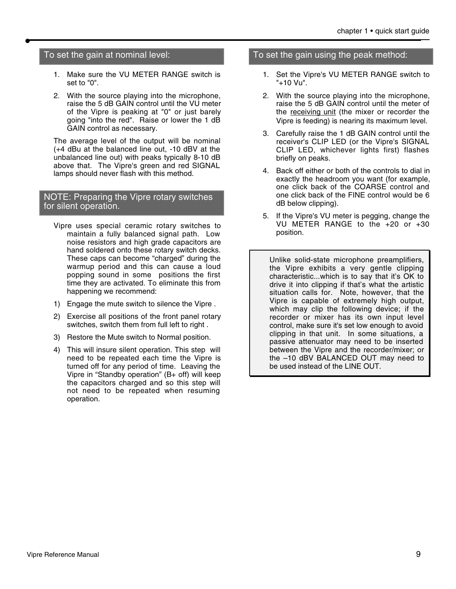#### To set the gain at nominal level:

- 1. Make sure the VU METER RANGE switch is set to "0".
- 2. With the source playing into the microphone, raise the 5 dB GAIN control until the VU meter of the Vipre is peaking at "0" or just barely going "into the red". Raise or lower the 1 dB GAIN control as necessary.

The average level of the output will be nominal (+4 dBu at the balanced line out, -10 dBV at the unbalanced line out) with peaks typically 8-10 dB above that. The Vipre's green and red SIGNAL lamps should never flash with this method.

#### NOTE: Preparing the Vipre rotary switches for silent operation.

- Vipre uses special ceramic rotary switches to maintain a fully balanced signal path. Low noise resistors and high grade capacitors are hand soldered onto these rotary switch decks. These caps can become "charged" during the warmup period and this can cause a loud popping sound in some positions the first time they are activated. To eliminate this from happening we recommend:
- 1) Engage the mute switch to silence the Vipre .
- 2) Exercise all positions of the front panel rotary switches, switch them from full left to right .
- 3) Restore the Mute switch to Normal position.
- 4) This will insure silent operation. This step will need to be repeated each time the Vipre is turned off for any period of time. Leaving the Vipre in "Standby operation" (B+ off) will keep the capacitors charged and so this step will not need to be repeated when resuming operation.

#### To set the gain using the peak method:

- 1. Set the Vipre's VU METER RANGE switch to "+10 Vu".
- 2. With the source playing into the microphone, raise the 5 dB GAIN control until the meter of the receiving unit (the mixer or recorder the Vipre is feeding) is nearing its maximum level.
- 3. Carefully raise the 1 dB GAIN control until the receiver's CLIP LED (or the Vipre's SIGNAL CLIP LED, whichever lights first) flashes briefly on peaks.
- 4. Back off either or both of the controls to dial in exactly the headroom you want (for example, one click back of the COARSE control and one click back of the FINE control would be 6 dB below clipping).
- 5. If the Vipre's VU meter is pegging, change the VU METER RANGE to the +20 or +30 position.

Unlike solid-state microphone preamplifiers, the Vipre exhibits a very gentle clipping characteristic...which is to say that it's OK to drive it into clipping if that's what the artistic situation calls for. Note, however, that the Vipre is capable of extremely high output, which may clip the following device; if the recorder or mixer has its own input level control, make sure it's set low enough to avoid clipping in that unit. In some situations, a passive attenuator may need to be inserted between the Vipre and the recorder/mixer; or the –10 dBV BALANCED OUT may need to be used instead of the LINE OUT.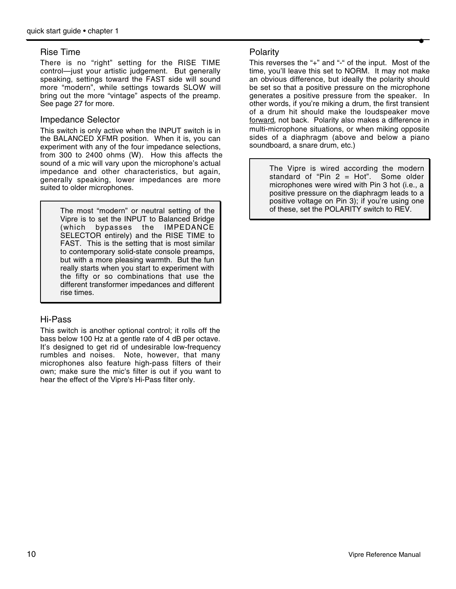#### Rise Time

There is no "right" setting for the RISE TIME control—just your artistic judgement. But generally speaking, settings toward the FAST side will sound more "modern", while settings towards SLOW will bring out the more "vintage" aspects of the preamp. See page 27 for more.

#### Impedance Selector

This switch is only active when the INPUT switch is in the BALANCED XFMR position. When it is, you can experiment with any of the four impedance selections, from 300 to 2400 ohms (W). How this affects the sound of a mic will vary upon the microphone's actual impedance and other characteristics, but again, generally speaking, lower impedances are more suited to older microphones.

> The most "modern" or neutral setting of the Vipre is to set the INPUT to Balanced Bridge (which bypasses the IMPEDANCE SELECTOR entirely) and the RISE TIME to FAST. This is the setting that is most similar to contemporary solid-state console preamps, but with a more pleasing warmth. But the fun really starts when you start to experiment with the fifty or so combinations that use the different transformer impedances and different rise times.

#### Hi-Pass

This switch is another optional control; it rolls off the bass below 100 Hz at a gentle rate of 4 dB per octave. It's designed to get rid of undesirable low-frequency rumbles and noises. Note, however, that many microphones also feature high-pass filters of their own; make sure the mic's filter is out if you want to hear the effect of the Vipre's Hi-Pass filter only.

#### Polarity

This reverses the "+" and "-" of the input. Most of the time, you'll leave this set to NORM. It may not make an obvious difference, but ideally the polarity should be set so that a positive pressure on the microphone generates a positive pressure from the speaker. In other words, if you're miking a drum, the first transient of a drum hit should make the loudspeaker move forward, not back. Polarity also makes a difference in multi-microphone situations, or when miking opposite sides of a diaphragm (above and below a piano soundboard, a snare drum, etc.)

The Vipre is wired according the modern standard of "Pin  $2 = Hot"$ . Some older microphones were wired with Pin 3 hot (i.e., a positive pressure on the diaphragm leads to a positive voltage on Pin 3); if you're using one of these, set the POLARITY switch to REV.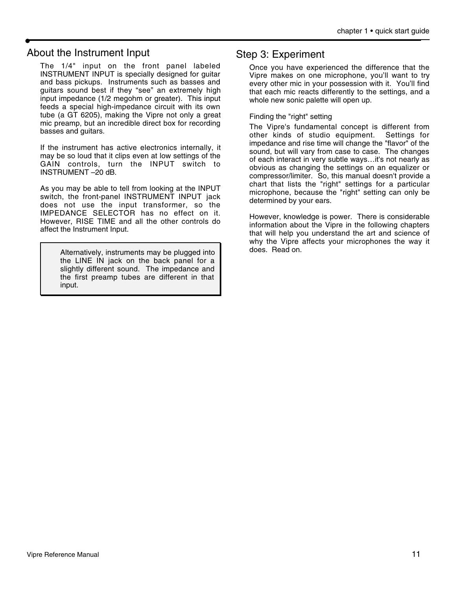# About the Instrument Input

The 1/4" input on the front panel labeled INSTRUMENT INPUT is specially designed for guitar and bass pickups. Instruments such as basses and guitars sound best if they "see" an extremely high input impedance (1/2 megohm or greater). This input feeds a special high-impedance circuit with its own tube (a GT 6205), making the Vipre not only a great mic preamp, but an incredible direct box for recording basses and guitars.

If the instrument has active electronics internally, it may be so loud that it clips even at low settings of the GAIN controls, turn the INPUT switch to INSTRUMENT –20 dB.

As you may be able to tell from looking at the INPUT switch, the front-panel INSTRUMENT INPUT jack does not use the input transformer, so the IMPEDANCE SELECTOR has no effect on it. However, RISE TIME and all the other controls do affect the Instrument Input.

> Alternatively, instruments may be plugged into the LINE IN jack on the back panel for a slightly different sound. The impedance and the first preamp tubes are different in that input.

# Step 3: Experiment

Once you have experienced the difference that the Vipre makes on one microphone, you'll want to try every other mic in your possession with it. You'll find that each mic reacts differently to the settings, and a whole new sonic palette will open up.

#### Finding the "right" setting

The Vipre's fundamental concept is different from other kinds of studio equipment. Settings for impedance and rise time will change the "flavor" of the sound, but will vary from case to case. The changes of each interact in very subtle ways…it's not nearly as obvious as changing the settings on an equalizer or compressor/limiter. So, this manual doesn't provide a chart that lists the "right" settings for a particular microphone, because the "right" setting can only be determined by your ears.

However, knowledge is power. There is considerable information about the Vipre in the following chapters that will help you understand the art and science of why the Vipre affects your microphones the way it does. Read on.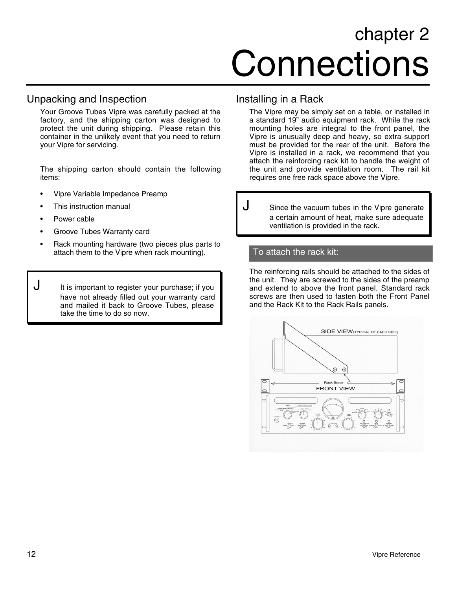# chapter 2 **Connections**

# Unpacking and Inspection

Your Groove Tubes Vipre was carefully packed at the factory, and the shipping carton was designed to protect the unit during shipping. Please retain this container in the unlikely event that you need to return your Vipre for servicing.

The shipping carton should contain the following items:

- Vipre Variable Impedance Preamp
- This instruction manual
- Power cable
- Groove Tubes Warranty card
- Rack mounting hardware (two pieces plus parts to attach them to the Vipre when rack mounting).

 $J$  It is important to register your purchase; if you have not already filled out your warranty card and mailed it back to Groove Tubes, please take the time to do so now.

# Installing in a Rack

The Vipre may be simply set on a table, or installed in a standard 19" audio equipment rack. While the rack mounting holes are integral to the front panel, the Vipre is unusually deep and heavy, so extra support must be provided for the rear of the unit. Before the Vipre is installed in a rack, we recommend that you attach the reinforcing rack kit to handle the weight of the unit and provide ventilation room. The rail kit requires one free rack space above the Vipre.

 $J$  Since the vacuum tubes in the Vipre generate a certain amount of heat, make sure adequate ventilation is provided in the rack.

### To attach the rack kit:

The reinforcing rails should be attached to the sides of the unit. They are screwed to the sides of the preamp and extend to above the front panel. Standard rack screws are then used to fasten both the Front Panel and the Rack Kit to the Rack Rails panels.

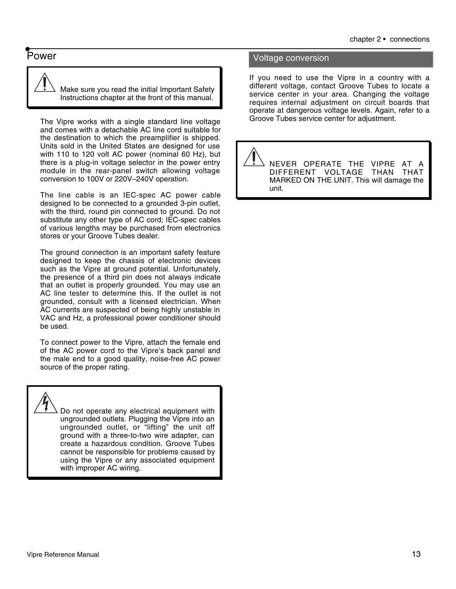# Power



Make sure you read the initial Important Safety Instructions chapter at the front of this manual.

The Vipre works with a single standard line voltage and comes with a detachable AC line cord suitable for the destination to which the preamplifier is shipped. Units sold in the United States are designed for use with 110 to 120 volt AC power (nominal 60 Hz), but there is a plug-in voltage selector in the power entry module in the rear-panel switch allowing voltage conversion to 100V or 220V–240V operation.

The line cable is an IEC-spec AC power cable designed to be connected to a grounded 3-pin outlet, with the third, round pin connected to ground. Do not substitute any other type of AC cord; IEC-spec cables of various lengths may be purchased from electronics stores or your Groove Tubes dealer.

The ground connection is an important safety feature designed to keep the chassis of electronic devices such as the Vipre at ground potential. Unfortunately, the presence of a third pin does not always indicate that an outlet is properly grounded. You may use an AC line tester to determine this. If the outlet is not grounded, consult with a licensed electrician. When AC currents are suspected of being highly unstable in VAC and Hz, a professional power conditioner should be used.

To connect power to the Vipre, attach the female end of the AC power cord to the Vipre's back panel and the male end to a good quality, noise-free AC power source of the proper rating.

Do not operate any electrical equipment with ungrounded outlets. Plugging the Vipre into an ungrounded outlet, or "lifting" the unit off ground with a three-to-two wire adapter, can create a hazardous condition. Groove Tubes cannot be responsible for problems caused by using the Vipre or any associated equipment with improper AC wiring.

#### Voltage conversion

If you need to use the Vipre in a country with a different voltage, contact Groove Tubes to locate a service center in your area. Changing the voltage requires internal adjustment on circuit boards that operate at dangerous voltage levels. Again, refer to a Groove Tubes service center for adjustment.

NEVER OPERATE THE VIPRE AT A DIFFERENT VOLTAGE THAN THAT MARKED ON THE UNIT. This will damage the unit.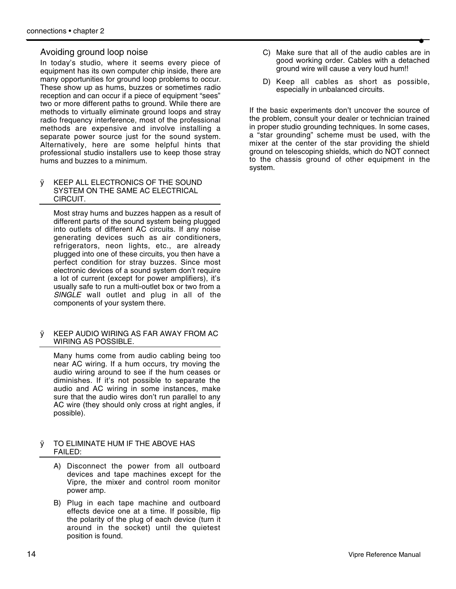#### Avoiding ground loop noise

In today's studio, where it seems every piece of equipment has its own computer chip inside, there are many opportunities for ground loop problems to occur. These show up as hums, buzzes or sometimes radio reception and can occur if a piece of equipment "sees" two or more different paths to ground. While there are methods to virtually eliminate ground loops and stray radio frequency interference, most of the professional methods are expensive and involve installing a separate power source just for the sound system. Alternatively, here are some helpful hints that professional studio installers use to keep those stray hums and buzzes to a minimum.

#### KEEP ALL ELECTRONICS OF THE SOUND SYSTEM ON THE SAME AC ELECTRICAL CIRCUIT.

Most stray hums and buzzes happen as a result of different parts of the sound system being plugged into outlets of different AC circuits. If any noise generating devices such as air conditioners, refrigerators, neon lights, etc., are already plugged into one of these circuits, you then have a perfect condition for stray buzzes. Since most electronic devices of a sound system don't require a lot of current (except for power amplifiers), it's usually safe to run a multi-outlet box or two from a *SINGLE* wall outlet and plug in all of the components of your system there.

#### KEEP AUDIO WIRING AS FAR AWAY FROM AC WIRING AS POSSIBLE.

Many hums come from audio cabling being too near AC wiring. If a hum occurs, try moving the audio wiring around to see if the hum ceases or diminishes. If it's not possible to separate the audio and AC wiring in some instances, make sure that the audio wires don't run parallel to any AC wire (they should only cross at right angles, if possible).

#### ÿ TO ELIMINATE HUM IF THE ABOVE HAS FAILED:

- A) Disconnect the power from all outboard devices and tape machines except for the Vipre, the mixer and control room monitor power amp.
- B) Plug in each tape machine and outboard effects device one at a time. If possible, flip the polarity of the plug of each device (turn it around in the socket) until the quietest position is found.
- C) Make sure that all of the audio cables are in good working order. Cables with a detached ground wire will cause a very loud hum!!
- D) Keep all cables as short as possible, especially in unbalanced circuits.

If the basic experiments don't uncover the source of the problem, consult your dealer or technician trained in proper studio grounding techniques. In some cases, a "star grounding" scheme must be used, with the mixer at the center of the star providing the shield ground on telescoping shields, which do NOT connect to the chassis ground of other equipment in the system.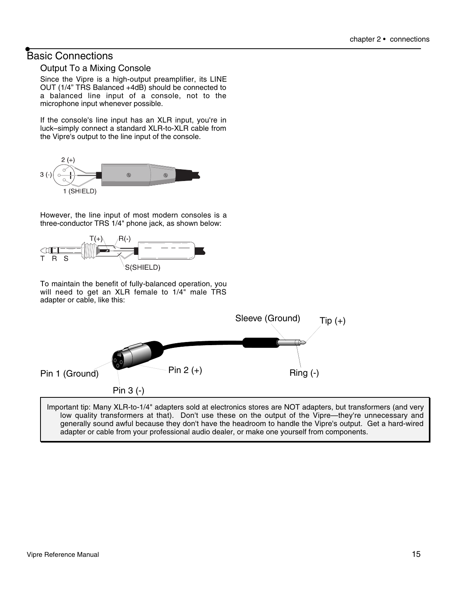# Basic Connections

#### Output To a Mixing Console

Since the Vipre is a high-output preamplifier, its LINE OUT (1/4" TRS Balanced +4dB) should be connected to a balanced line input of a console, not to the microphone input whenever possible.

If the console's line input has an XLR input, you're in luck–simply connect a standard XLR-to-XLR cable from the Vipre's output to the line input of the console.



However, the line input of most modern consoles is a three-conductor TRS 1/4" phone jack, as shown below:



To maintain the benefit of fully-balanced operation, you will need to get an XLR female to 1/4" male TRS adapter or cable, like this:



Important tip: Many XLR-to-1/4" adapters sold at electronics stores are NOT adapters, but transformers (and very low quality transformers at that). Don't use these on the output of the Vipre—they're unnecessary and generally sound awful because they don't have the headroom to handle the Vipre's output. Get a hard-wired adapter or cable from your professional audio dealer, or make one yourself from components.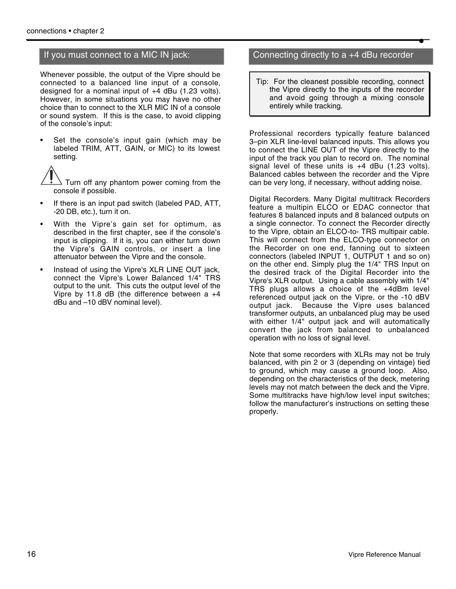## If you must connect to a MIC IN jack:

Whenever possible, the output of the Vipre should be connected to a balanced line input of a console, designed for a nominal input of  $+4$  dBu (1.23 volts). However, in some situations you may have no other choice than to connect to the XLR MIC IN of a console or sound system. If this is the case, to avoid clipping of the console's input:

Set the console's input gain (which may be labeled TRIM, ATT, GAIN, or MIC) to its lowest setting.

Turn off any phantom power coming from the console if possible.

- If there is an input pad switch (labeled PAD, ATT, -20 DB, etc.), turn it on.
- With the Vipre's gain set for optimum, as described in the first chapter, see if the console's input is clipping. If it is, you can either turn down the Vipre's GAIN controls, or insert a line attenuator between the Vipre and the console.
- Instead of using the Vipre's XLR LINE OUT jack, connect the Vipre's Lower Balanced 1/4" TRS output to the unit. This cuts the output level of the Vipre by 11.8 dB (the difference between a +4 dBu and –10 dBV nominal level).

#### Connecting directly to a +4 dBu recorder

Tip: For the cleanest possible recording, connect the Vipre directly to the inputs of the recorder and avoid going through a mixing console entirely while tracking.

Professional recorders typically feature balanced 3–pin XLR line-level balanced inputs. This allows you to connect the LINE OUT of the Vipre directly to the input of the track you plan to record on. The nominal signal level of these units is  $+4$  dBu (1.23 volts). Balanced cables between the recorder and the Vipre can be very long, if necessary, without adding noise.

Digital Recorders. Many Digital multitrack Recorders feature a multipin ELCO or EDAC connector that features 8 balanced inputs and 8 balanced outputs on a single connector. To connect the Recorder directly to the Vipre, obtain an ELCO-to- TRS multipair cable. This will connect from the ELCO-type connector on the Recorder on one end, fanning out to sixteen connectors (labeled INPUT 1, OUTPUT 1 and so on) on the other end. Simply plug the 1/4" TRS Input on the desired track of the Digital Recorder into the Vipre's XLR output. Using a cable assembly with 1/4" TRS plugs allows a choice of the +4dBm level referenced output jack on the Vipre, or the -10 dBV output jack. Because the Vipre uses balanced transformer outputs, an unbalanced plug may be used with either 1/4" output jack and will automatically convert the jack from balanced to unbalanced operation with no loss of signal level.

Note that some recorders with XLRs may not be truly balanced, with pin 2 or 3 (depending on vintage) tied to ground, which may cause a ground loop. Also, depending on the characteristics of the deck, metering levels may not match between the deck and the Vipre. Some multitracks have high/low level input switches; follow the manufacturer's instructions on setting these properly.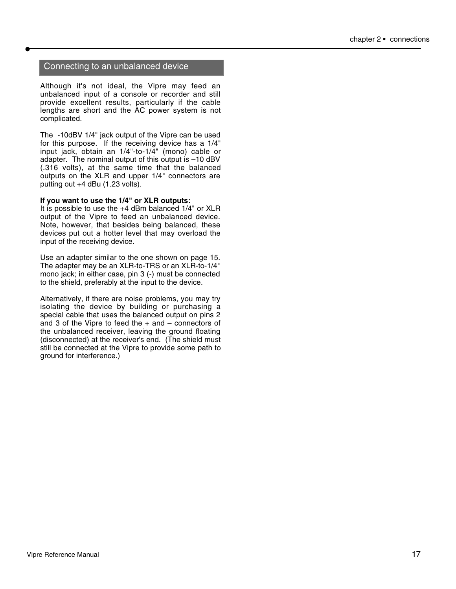#### Connecting to an unbalanced device

Although it's not ideal, the Vipre may feed an unbalanced input of a console or recorder and still provide excellent results, particularly if the cable lengths are short and the AC power system is not complicated.

The -10dBV 1/4" jack output of the Vipre can be used for this purpose. If the receiving device has a 1/4" input jack, obtain an 1/4"-to-1/4" (mono) cable or adapter. The nominal output of this output is –10 dBV (.316 volts), at the same time that the balanced outputs on the XLR and upper 1/4" connectors are putting out +4 dBu (1.23 volts).

#### **If you want to use the 1/4" or XLR outputs:**

It is possible to use the +4 dBm balanced 1/4" or XLR output of the Vipre to feed an unbalanced device. Note, however, that besides being balanced, these devices put out a hotter level that may overload the input of the receiving device.

Use an adapter similar to the one shown on page 15. The adapter may be an XLR-to-TRS or an XLR-to-1/4" mono jack; in either case, pin 3 (-) must be connected to the shield, preferably at the input to the device.

Alternatively, if there are noise problems, you may try isolating the device by building or purchasing a special cable that uses the balanced output on pins 2 and 3 of the Vipre to feed the + and – connectors of the unbalanced receiver, leaving the ground floating (disconnected) at the receiver's end. (The shield must still be connected at the Vipre to provide some path to ground for interference.)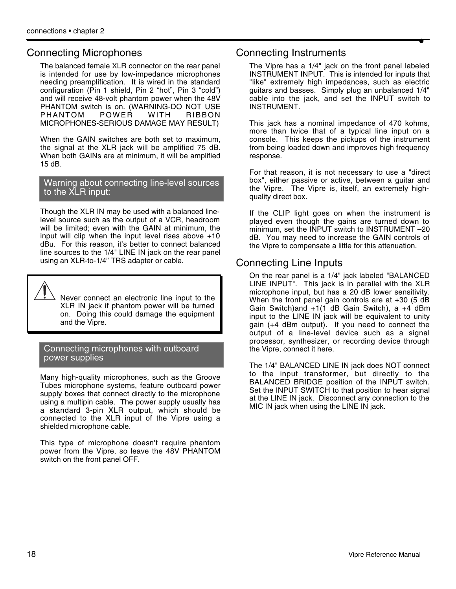# Connecting Microphones

The balanced female XLR connector on the rear panel is intended for use by low-impedance microphones needing preamplification. It is wired in the standard configuration (Pin 1 shield, Pin 2 "hot", Pin 3 "cold") and will receive 48-volt phantom power when the 48V PHANTOM switch is on. (WARNING-DO NOT USE PHANTOM POWER WITH RIBBON MICROPHONES-SERIOUS DAMAGE MAY RESULT)

When the GAIN switches are both set to maximum, the signal at the XLR jack will be amplified 75 dB. When both GAINs are at minimum, it will be amplified 15 dB.

Warning about connecting line-level sources to the XLR input:

Though the XLR IN may be used with a balanced linelevel source such as the output of a VCR, headroom will be limited; even with the GAIN at minimum, the input will clip when the input level rises above +10 dBu. For this reason, it's better to connect balanced line sources to the 1/4" LINE IN jack on the rear panel using an XLR-to-1/4" TRS adapter or cable.

Never connect an electronic line input to the XLR IN jack if phantom power will be turned on. Doing this could damage the equipment and the Vipre.

#### Connecting microphones with outboard power supplies

Many high-quality microphones, such as the Groove Tubes microphone systems, feature outboard power supply boxes that connect directly to the microphone using a multipin cable. The power supply usually has a standard 3-pin XLR output, which should be connected to the XLR input of the Vipre using a shielded microphone cable.

This type of microphone doesn't require phantom power from the Vipre, so leave the 48V PHANTOM switch on the front panel OFF.

## Connecting Instruments

The Vipre has a 1/4" jack on the front panel labeled INSTRUMENT INPUT. This is intended for inputs that "like" extremely high impedances, such as electric guitars and basses. Simply plug an unbalanced 1/4" cable into the jack, and set the INPUT switch to INSTRUMENT.

This jack has a nominal impedance of 470 kohms, more than twice that of a typical line input on a console. This keeps the pickups of the instrument from being loaded down and improves high frequency response.

For that reason, it is not necessary to use a "direct box", either passive or active, between a guitar and the Vipre. The Vipre is, itself, an extremely highquality direct box.

If the CLIP light goes on when the instrument is played even though the gains are turned down to minimum, set the INPUT switch to INSTRUMENT –20 dB. You may need to increase the GAIN controls of the Vipre to compensate a little for this attenuation.

# Connecting Line Inputs

On the rear panel is a 1/4" jack labeled "BALANCED LINE INPUT". This jack is in parallel with the XLR microphone input, but has a 20 dB lower sensitivity. When the front panel gain controls are at +30 (5 dB Gain Switch)and  $+1(1$  dB Gain Switch), a  $+4$  dBm input to the LINE IN jack will be equivalent to unity gain (+4 dBm output). If you need to connect the output of a line-level device such as a signal processor, synthesizer, or recording device through the Vipre, connect it here.

The 1/4" BALANCED LINE IN jack does NOT connect to the input transformer, but directly to the BALANCED BRIDGE position of the INPUT switch. Set the INPUT SWITCH to that position to hear signal at the LINE IN jack. Disconnect any connection to the MIC IN jack when using the LINE IN jack.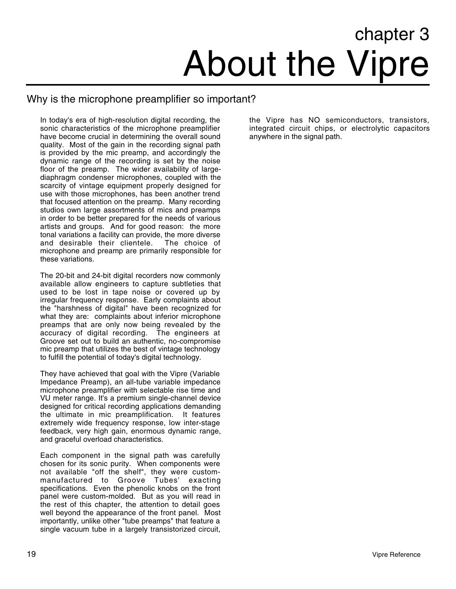# chapter 3 About the Vipre

# Why is the microphone preamplifier so important?

In today's era of high-resolution digital recording, the sonic characteristics of the microphone preamplifier have become crucial in determining the overall sound quality. Most of the gain in the recording signal path is provided by the mic preamp, and accordingly the dynamic range of the recording is set by the noise floor of the preamp. The wider availability of largediaphragm condenser microphones, coupled with the scarcity of vintage equipment properly designed for use with those microphones, has been another trend that focused attention on the preamp. Many recording studios own large assortments of mics and preamps in order to be better prepared for the needs of various artists and groups. And for good reason: the more tonal variations a facility can provide, the more diverse and desirable their clientele. The choice of microphone and preamp are primarily responsible for these variations.

The 20-bit and 24-bit digital recorders now commonly available allow engineers to capture subtleties that used to be lost in tape noise or covered up by irregular frequency response. Early complaints about the "harshness of digital" have been recognized for what they are: complaints about inferior microphone preamps that are only now being revealed by the accuracy of digital recording. The engineers at Groove set out to build an authentic, no-compromise mic preamp that utilizes the best of vintage technology to fulfill the potential of today's digital technology.

They have achieved that goal with the Vipre (Variable Impedance Preamp), an all-tube variable impedance microphone preamplifier with selectable rise time and VU meter range. It's a premium single-channel device designed for critical recording applications demanding the ultimate in mic preamplification. It features extremely wide frequency response, low inter-stage feedback, very high gain, enormous dynamic range, and graceful overload characteristics.

Each component in the signal path was carefully chosen for its sonic purity. When components were not available "off the shelf", they were custommanufactured to Groove Tubes' exacting specifications. Even the phenolic knobs on the front panel were custom-molded. But as you will read in the rest of this chapter, the attention to detail goes well beyond the appearance of the front panel. Most importantly, unlike other "tube preamps" that feature a single vacuum tube in a largely transistorized circuit,

the Vipre has NO semiconductors, transistors, integrated circuit chips, or electrolytic capacitors anywhere in the signal path.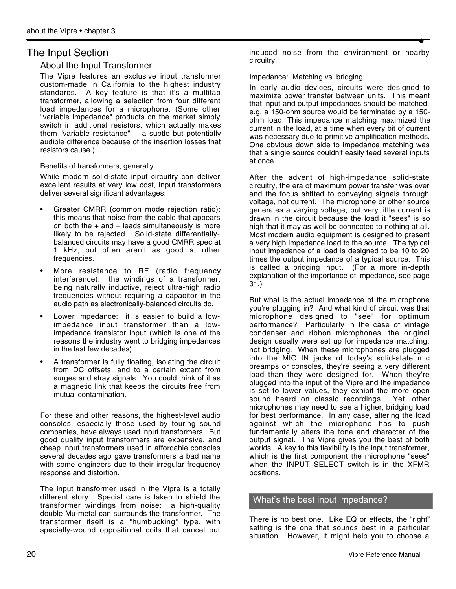# The Input Section

#### About the Input Transformer

The Vipre features an exclusive input transformer custom-made in California to the highest industry standards. A key feature is that it's a multitap transformer, allowing a selection from four different load impedances for a microphone. (Some other "variable impedance" products on the market simply switch in additional resistors, which actually makes them "variable resistance"–—a subtle but potentially audible difference because of the insertion losses that resistors cause.)

#### Benefits of transformers, generally

While modern solid-state input circuitry can deliver excellent results at very low cost, input transformers deliver several significant advantages:

- Greater CMRR (common mode rejection ratio): this means that noise from the cable that appears on both the  $+$  and  $-$  leads simultaneously is more likely to be rejected. Solid-state differentiallybalanced circuits may have a good CMRR spec at 1 kHz, but often aren't as good at other frequencies.
- More resistance to RF (radio frequency interference): the windings of a transformer, being naturally inductive, reject ultra-high radio frequencies without requiring a capacitor in the audio path as electronically-balanced circuits do.
- Lower impedance: it is easier to build a lowimpedance input transformer than a lowimpedance transistor input (which is one of the reasons the industry went to bridging impedances in the last few decades).
- A transformer is fully floating, isolating the circuit from DC offsets, and to a certain extent from surges and stray signals. You could think of it as a magnetic link that keeps the circuits free from mutual contamination.

For these and other reasons, the highest-level audio consoles, especially those used by touring sound companies, have always used input transformers. But good quality input transformers are expensive, and cheap input transformers used in affordable consoles several decades ago gave transformers a bad name with some engineers due to their irregular frequency response and distortion.

The input transformer used in the Vipre is a totally different story. Special care is taken to shield the transformer windings from noise: a high-quality double Mu-metal can surrounds the transformer. The transformer itself is a "humbucking" type, with specially-wound oppositional coils that cancel out

induced noise from the environment or nearby circuitry.

Impedance: Matching vs. bridging

In early audio devices, circuits were designed to maximize power transfer between units. This meant that input and output impedances should be matched, e.g. a 150-ohm source would be terminated by a 150 ohm load. This impedance matching maximized the current in the load, at a time when every bit of current was necessary due to primitive amplification methods. One obvious down side to impedance matching was that a single source couldn't easily feed several inputs at once.

After the advent of high-impedance solid-state circuitry, the era of maximum power transfer was over and the focus shifted to conveying signals through voltage, not current. The microphone or other source generates a varying voltage, but very little current is drawn in the circuit because the load it "sees" is so high that it may as well be connected to nothing at all. Most modern audio equipment is designed to present a very high impedance load to the source. The typical input impedance of a load is designed to be 10 to 20 times the output impedance of a typical source. This is called a bridging input. (For a more in-depth explanation of the importance of impedance, see page 31.)

But what is the actual impedance of the microphone you're plugging in? And what kind of circuit was that microphone designed to "see" for optimum performance? Particularly in the case of vintage condenser and ribbon microphones, the original design usually were set up for impedance matching, not bridging. When these microphones are plugged into the MIC IN jacks of today's solid-state mic preamps or consoles, they're seeing a very different load than they were designed for. When they're plugged into the input of the Vipre and the impedance is set to lower values, they exhibit the more open sound heard on classic recordings. Yet, other microphones may need to see a higher, bridging load for best performance. In any case, altering the load against which the microphone has to push fundamentally alters the tone and character of the output signal. The Vipre gives you the best of both worlds. A key to this flexibility is the input transformer, which is the first component the microphone "sees" when the INPUT SELECT switch is in the XFMR positions.

#### What's the best input impedance?

There is no best one. Like EQ or effects, the "right" setting is the one that sounds best in a particular situation. However, it might help you to choose a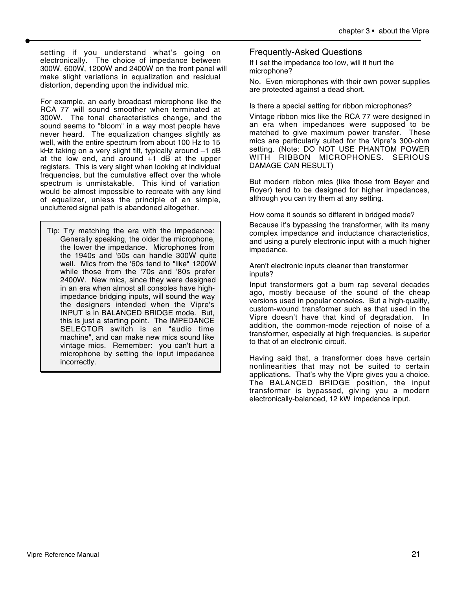setting if you understand what's going on electronically. The choice of impedance between 300W, 600W, 1200W and 2400W on the front panel will make slight variations in equalization and residual distortion, depending upon the individual mic.

For example, an early broadcast microphone like the RCA 77 will sound smoother when terminated at 300W. The tonal characteristics change, and the sound seems to "bloom" in a way most people have never heard. The equalization changes slightly as well, with the entire spectrum from about 100 Hz to 15 kHz taking on a very slight tilt, typically around –1 dB at the low end, and around +1 dB at the upper registers. This is very slight when looking at individual frequencies, but the cumulative effect over the whole spectrum is unmistakable. This kind of variation would be almost impossible to recreate with any kind of equalizer, unless the principle of an simple, uncluttered signal path is abandoned altogether.

Tip: Try matching the era with the impedance: Generally speaking, the older the microphone, the lower the impedance. Microphones from the 1940s and '50s can handle 300W quite well. Mics from the '60s tend to "like" 1200W while those from the '70s and '80s prefer 2400W. New mics, since they were designed in an era when almost all consoles have highimpedance bridging inputs, will sound the way the designers intended when the Vipre's INPUT is in BALANCED BRIDGE mode. But, this is just a starting point. The IMPEDANCE SELECTOR switch is an "audio time machine", and can make new mics sound like vintage mics. Remember: you can't hurt a microphone by setting the input impedance incorrectly.

#### Frequently-Asked Questions

If I set the impedance too low, will it hurt the microphone?

No. Even microphones with their own power supplies are protected against a dead short.

Is there a special setting for ribbon microphones?

Vintage ribbon mics like the RCA 77 were designed in an era when impedances were supposed to be matched to give maximum power transfer. These mics are particularly suited for the Vipre's 300-ohm setting. (Note: DO NOT USE PHANTOM POWER WITH RIBBON MICROPHONES. SERIOUS DAMAGE CAN RESULT)

But modern ribbon mics (like those from Beyer and Royer) tend to be designed for higher impedances, although you can try them at any setting.

How come it sounds so different in bridged mode?

Because it's bypassing the transformer, with its many complex impedance and inductance characteristics, and using a purely electronic input with a much higher impedance.

Aren't electronic inputs cleaner than transformer inputs?

Input transformers got a bum rap several decades ago, mostly because of the sound of the cheap versions used in popular consoles. But a high-quality, custom-wound transformer such as that used in the Vipre doesn't have that kind of degradation. In addition, the common-mode rejection of noise of a transformer, especially at high frequencies, is superior to that of an electronic circuit.

Having said that, a transformer does have certain nonlinearities that may not be suited to certain applications. That's why the Vipre gives you a choice. The BALANCED BRIDGE position, the input transformer is bypassed, giving you a modern electronically-balanced, 12 kW impedance input.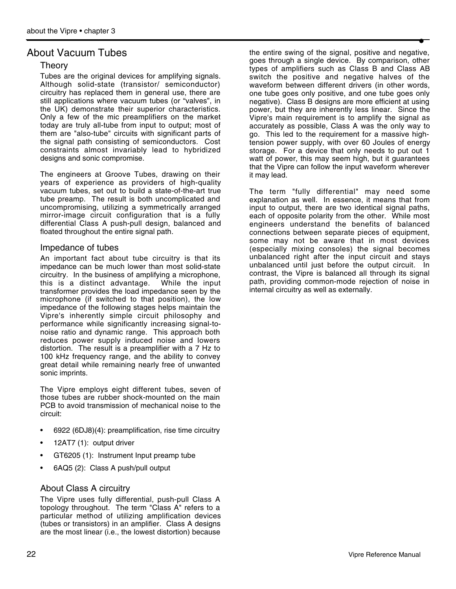## About Vacuum Tubes

#### Theory

Tubes are the original devices for amplifying signals. Although solid-state (transistor/ semiconductor) circuitry has replaced them in general use, there are still applications where vacuum tubes (or "valves", in the UK) demonstrate their superior characteristics. Only a few of the mic preamplifiers on the market today are truly all-tube from input to output; most of them are "also-tube" circuits with significant parts of the signal path consisting of semiconductors. Cost constraints almost invariably lead to hybridized designs and sonic compromise.

The engineers at Groove Tubes, drawing on their years of experience as providers of high-quality vacuum tubes, set out to build a state-of-the-art true tube preamp. The result is both uncomplicated and uncompromising, utilizing a symmetrically arranged mirror-image circuit configuration that is a fully differential Class A push-pull design, balanced and floated throughout the entire signal path.

#### Impedance of tubes

An important fact about tube circuitry is that its impedance can be much lower than most solid-state circuitry. In the business of amplifying a microphone, this is a distinct advantage. While the input transformer provides the load impedance seen by the microphone (if switched to that position), the low impedance of the following stages helps maintain the Vipre's inherently simple circuit philosophy and performance while significantly increasing signal-tonoise ratio and dynamic range. This approach both reduces power supply induced noise and lowers distortion. The result is a preamplifier with a 7 Hz to 100 kHz frequency range, and the ability to convey great detail while remaining nearly free of unwanted sonic imprints.

The Vipre employs eight different tubes, seven of those tubes are rubber shock-mounted on the main PCB to avoid transmission of mechanical noise to the circuit:

- 6922 (6DJ8)(4): preamplification, rise time circuitry
- 12AT7 (1): output driver
- GT6205 (1): Instrument Input preamp tube
- 6AQ5 (2): Class A push/pull output

#### About Class A circuitry

The Vipre uses fully differential, push-pull Class A topology throughout. The term "Class A" refers to a particular method of utilizing amplification devices (tubes or transistors) in an amplifier. Class A designs are the most linear (i.e., the lowest distortion) because

the entire swing of the signal, positive and negative, goes through a single device. By comparison, other types of amplifiers such as Class B and Class AB switch the positive and negative halves of the waveform between different drivers (in other words, one tube goes only positive, and one tube goes only negative). Class B designs are more efficient at using power, but they are inherently less linear. Since the Vipre's main requirement is to amplify the signal as accurately as possible, Class A was the only way to go. This led to the requirement for a massive hightension power supply, with over 60 Joules of energy storage. For a device that only needs to put out 1 watt of power, this may seem high, but it guarantees that the Vipre can follow the input waveform wherever it may lead.

The term "fully differential" may need some explanation as well. In essence, it means that from input to output, there are two identical signal paths, each of opposite polarity from the other. While most engineers understand the benefits of balanced connections between separate pieces of equipment, some may not be aware that in most devices (especially mixing consoles) the signal becomes unbalanced right after the input circuit and stays unbalanced until just before the output circuit. In contrast, the Vipre is balanced all through its signal path, providing common-mode rejection of noise in internal circuitry as well as externally.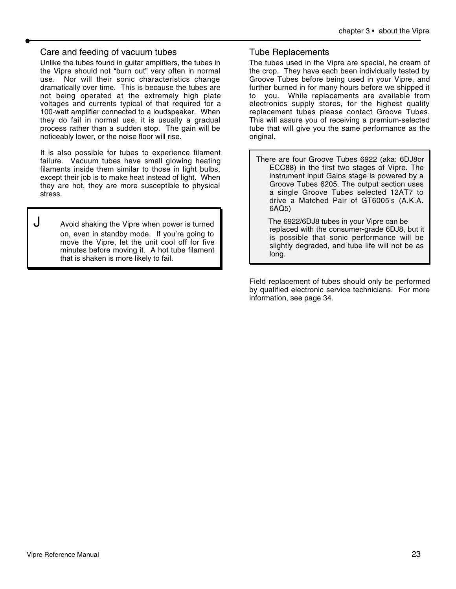#### Care and feeding of vacuum tubes

Unlike the tubes found in guitar amplifiers, the tubes in the Vipre should not "burn out" very often in normal use. Nor will their sonic characteristics change dramatically over time. This is because the tubes are not being operated at the extremely high plate voltages and currents typical of that required for a 100-watt amplifier connected to a loudspeaker. When they do fail in normal use, it is usually a gradual process rather than a sudden stop. The gain will be noticeably lower, or the noise floor will rise.

It is also possible for tubes to experience filament failure. Vacuum tubes have small glowing heating filaments inside them similar to those in light bulbs, except their job is to make heat instead of light. When they are hot, they are more susceptible to physical stress.

**J** Avoid shaking the Vipre when power is turned on, even in standby mode. If you're going to move the Vipre, let the unit cool off for five minutes before moving it. A hot tube filament that is shaken is more likely to fail.

#### Tube Replacements

The tubes used in the Vipre are special, he cream of the crop. They have each been individually tested by Groove Tubes before being used in your Vipre, and further burned in for many hours before we shipped it to you. While replacements are available from electronics supply stores, for the highest quality replacement tubes please contact Groove Tubes. This will assure you of receiving a premium-selected tube that will give you the same performance as the original.

There are four Groove Tubes 6922 (aka: 6DJ8or ECC88) in the first two stages of Vipre. The instrument input Gains stage is powered by a Groove Tubes 6205. The output section uses a single Groove Tubes selected 12AT7 to drive a Matched Pair of GT6005's (A.K.A. 6AQ5)

 The 6922/6DJ8 tubes in your Vipre can be replaced with the consumer-grade 6DJ8, but it is possible that sonic performance will be slightly degraded, and tube life will not be as long.

Field replacement of tubes should only be performed by qualified electronic service technicians. For more information, see page 34.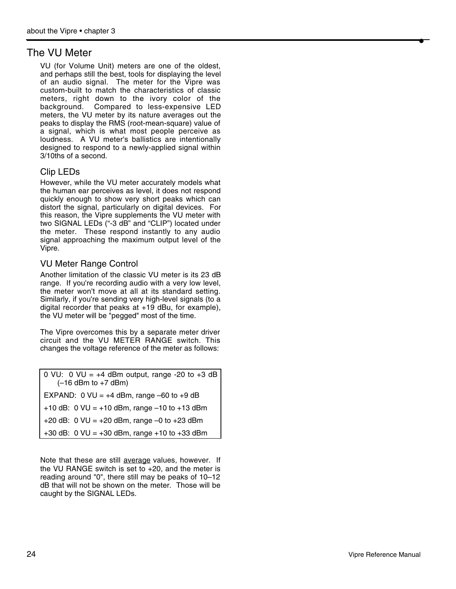# The VU Meter

VU (for Volume Unit) meters are one of the oldest, and perhaps still the best, tools for displaying the level of an audio signal. The meter for the Vipre was custom-built to match the characteristics of classic meters, right down to the ivory color of the background. Compared to less-expensive LED meters, the VU meter by its nature averages out the peaks to display the RMS (root-mean-square) value of a signal, which is what most people perceive as loudness. A VU meter's ballistics are intentionally designed to respond to a newly-applied signal within 3/10ths of a second.

#### Clip LEDs

However, while the VU meter accurately models what the human ear perceives as level, it does not respond quickly enough to show very short peaks which can distort the signal, particularly on digital devices. For this reason, the Vipre supplements the VU meter with two SIGNAL LEDs ("-3 dB" and "CLIP") located under the meter. These respond instantly to any audio signal approaching the maximum output level of the Vipre.

### VU Meter Range Control

Another limitation of the classic VU meter is its 23 dB range. If you're recording audio with a very low level, the meter won't move at all at its standard setting. Similarly, if you're sending very high-level signals (to a digital recorder that peaks at +19 dBu, for example), the VU meter will be "pegged" most of the time.

The Vipre overcomes this by a separate meter driver circuit and the VU METER RANGE switch. This changes the voltage reference of the meter as follows:

| $\vert$ 0 VU: 0 VU = +4 dBm output, range -20 to +3 dB<br>$(-16$ dBm to $+7$ dBm) |  |  |
|-----------------------------------------------------------------------------------|--|--|
| EXPAND: 0 VU = $+4$ dBm, range -60 to $+9$ dB                                     |  |  |
| +10 dB: $0$ VU = +10 dBm, range -10 to +13 dBm                                    |  |  |
| +20 dB: $0$ VU = +20 dBm, range -0 to +23 dBm                                     |  |  |
| +30 dB: $0$ VU = +30 dBm, range +10 to +33 dBm                                    |  |  |

Note that these are still average values, however. If the VU RANGE switch is set to +20, and the meter is reading around "0", there still may be peaks of 10–12 dB that will not be shown on the meter. Those will be caught by the SIGNAL LEDs.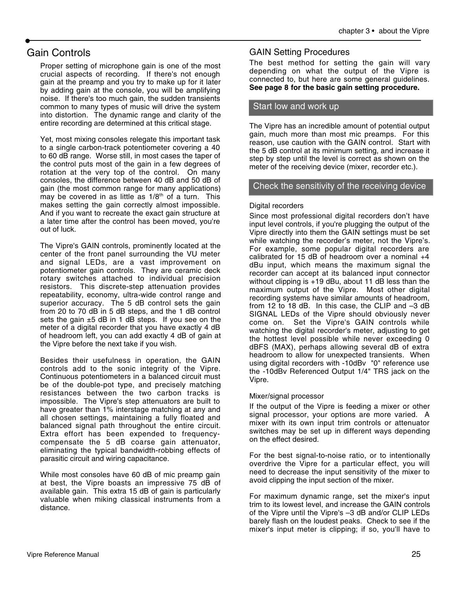# Gain Controls

Proper setting of microphone gain is one of the most crucial aspects of recording. If there's not enough gain at the preamp and you try to make up for it later by adding gain at the console, you will be amplifying noise. If there's too much gain, the sudden transients common to many types of music will drive the system into distortion. The dynamic range and clarity of the entire recording are determined at this critical stage.

Yet, most mixing consoles relegate this important task to a single carbon-track potentiometer covering a 40 to 60 dB range. Worse still, in most cases the taper of the control puts most of the gain in a few degrees of rotation at the very top of the control. On many consoles, the difference between 40 dB and 50 dB of gain (the most common range for many applications) may be covered in as little as 1/8<sup>th</sup> of a turn. This makes setting the gain correctly almost impossible. And if you want to recreate the exact gain structure at a later time after the control has been moved, you're out of luck.

The Vipre's GAIN controls, prominently located at the center of the front panel surrounding the VU meter and signal LEDs, are a vast improvement on potentiometer gain controls. They are ceramic deck rotary switches attached to individual precision resistors. This discrete-step attenuation provides repeatability, economy, ultra-wide control range and superior accuracy. The 5 dB control sets the gain from 20 to 70 dB in 5 dB steps, and the 1 dB control sets the gain  $\pm 5$  dB in 1 dB steps. If you see on the meter of a digital recorder that you have exactly 4 dB of headroom left, you can add exactly 4 dB of gain at the Vipre before the next take if you wish.

Besides their usefulness in operation, the GAIN controls add to the sonic integrity of the Vipre. Continuous potentiometers in a balanced circuit must be of the double-pot type, and precisely matching resistances between the two carbon tracks is impossible. The Vipre's step attenuators are built to have greater than 1% interstage matching at any and all chosen settings, maintaining a fully floated and balanced signal path throughout the entire circuit. Extra effort has been expended to frequencycompensate the 5 dB coarse gain attenuator, eliminating the typical bandwidth-robbing effects of parasitic circuit and wiring capacitance.

While most consoles have 60 dB of mic preamp gain at best, the Vipre boasts an impressive 75 dB of available gain. This extra 15 dB of gain is particularly valuable when miking classical instruments from a distance.

#### GAIN Setting Procedures

The best method for setting the gain will vary depending on what the output of the Vipre is connected to, but here are some general guidelines. **See page 8 for the basic gain setting procedure.**

#### Start low and work up

The Vipre has an incredible amount of potential output gain, much more than most mic preamps. For this reason, use caution with the GAIN control. Start with the 5 dB control at its minimum setting, and increase it step by step until the level is correct as shown on the meter of the receiving device (mixer, recorder etc.).

#### Check the sensitivity of the receiving device

#### Digital recorders

Since most professional digital recorders don't have input level controls, if you're plugging the output of the Vipre directly into them the GAIN settings must be set while watching the recorder's meter, not the Vipre's. For example, some popular digital recorders are calibrated for 15 dB of headroom over a nominal +4 dBu input, which means the maximum signal the recorder can accept at its balanced input connector without clipping is  $+19$  dBu, about 11 dB less than the maximum output of the Vipre. Most other digital recording systems have similar amounts of headroom, from 12 to 18 dB. In this case, the CLIP and –3 dB SIGNAL LEDs of the Vipre should obviously never come on. Set the Vipre's GAIN controls while watching the digital recorder's meter, adjusting to get the hottest level possible while never exceeding 0 dBFS (MAX), perhaps allowing several dB of extra headroom to allow for unexpected transients. When using digital recorders with -10dBv "0" reference use the -10dBv Referenced Output 1/4" TRS jack on the Vipre.

#### Mixer/signal processor

If the output of the Vipre is feeding a mixer or other signal processor, your options are more varied. A mixer with its own input trim controls or attenuator switches may be set up in different ways depending on the effect desired.

For the best signal-to-noise ratio, or to intentionally overdrive the Vipre for a particular effect, you will need to decrease the input sensitivity of the mixer to avoid clipping the input section of the mixer.

For maximum dynamic range, set the mixer's input trim to its lowest level, and increase the GAIN controls of the Vipre until the Vipre's –3 dB and/or CLIP LEDs barely flash on the loudest peaks. Check to see if the mixer's input meter is clipping; if so, you'll have to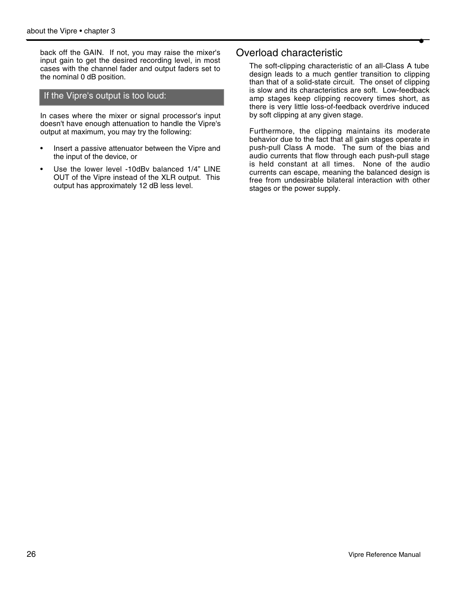back off the GAIN. If not, you may raise the mixer's input gain to get the desired recording level, in most cases with the channel fader and output faders set to the nominal 0 dB position.

#### If the Vipre's output is too loud:

In cases where the mixer or signal processor's input doesn't have enough attenuation to handle the Vipre's output at maximum, you may try the following:

- Insert a passive attenuator between the Vipre and the input of the device, or
- Use the lower level -10dBy balanced 1/4" LINE OUT of the Vipre instead of the XLR output. This output has approximately 12 dB less level.

## Overload characteristic

The soft-clipping characteristic of an all-Class A tube design leads to a much gentler transition to clipping than that of a solid-state circuit. The onset of clipping is slow and its characteristics are soft. Low-feedback amp stages keep clipping recovery times short, as there is very little loss-of-feedback overdrive induced by soft clipping at any given stage.

Furthermore, the clipping maintains its moderate behavior due to the fact that all gain stages operate in push-pull Class A mode. The sum of the bias and audio currents that flow through each push-pull stage is held constant at all times. None of the audio currents can escape, meaning the balanced design is free from undesirable bilateral interaction with other stages or the power supply.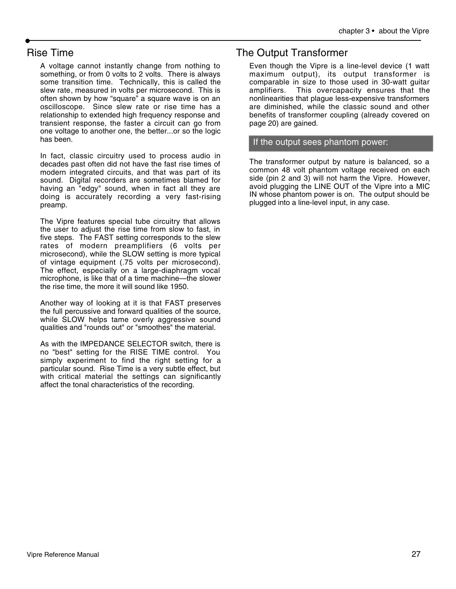# Rise Time

A voltage cannot instantly change from nothing to something, or from 0 volts to 2 volts. There is always some transition time. Technically, this is called the slew rate, measured in volts per microsecond. This is often shown by how "square" a square wave is on an oscilloscope. Since slew rate or rise time has a relationship to extended high frequency response and transient response, the faster a circuit can go from one voltage to another one, the better...or so the logic has been.

In fact, classic circuitry used to process audio in decades past often did not have the fast rise times of modern integrated circuits, and that was part of its sound. Digital recorders are sometimes blamed for having an "edgy" sound, when in fact all they are doing is accurately recording a very fast-rising preamp.

The Vipre features special tube circuitry that allows the user to adjust the rise time from slow to fast, in five steps. The FAST setting corresponds to the slew rates of modern preamplifiers (6 volts per microsecond), while the SLOW setting is more typical of vintage equipment (.75 volts per microsecond). The effect, especially on a large-diaphragm vocal microphone, is like that of a time machine—the slower the rise time, the more it will sound like 1950.

Another way of looking at it is that FAST preserves the full percussive and forward qualities of the source, while SLOW helps tame overly aggressive sound qualities and "rounds out" or "smoothes" the material.

As with the IMPEDANCE SELECTOR switch, there is no "best" setting for the RISE TIME control. You simply experiment to find the right setting for a particular sound. Rise Time is a very subtle effect, but with critical material the settings can significantly affect the tonal characteristics of the recording.

# The Output Transformer

Even though the Vipre is a line-level device (1 watt maximum output), its output transformer is comparable in size to those used in 30-watt guitar amplifiers. This overcapacity ensures that the nonlinearities that plague less-expensive transformers are diminished, while the classic sound and other benefits of transformer coupling (already covered on page 20) are gained.

If the output sees phantom power:

The transformer output by nature is balanced, so a common 48 volt phantom voltage received on each side (pin 2 and 3) will not harm the Vipre. However, avoid plugging the LINE OUT of the Vipre into a MIC IN whose phantom power is on. The output should be plugged into a line-level input, in any case.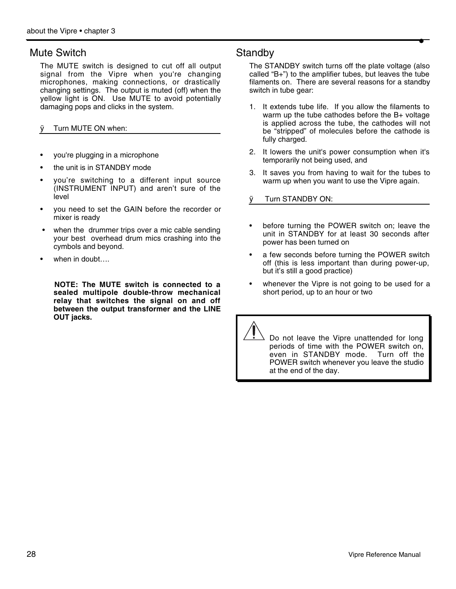## Mute Switch

The MUTE switch is designed to cut off all output signal from the Vipre when you're changing microphones, making connections, or drastically changing settings. The output is muted (off) when the yellow light is ON. Use MUTE to avoid potentially damaging pops and clicks in the system.

Turn MUTE ON when:

- you're plugging in a microphone
- the unit is in STANDBY mode
- you're switching to a different input source (INSTRUMENT INPUT) and aren't sure of the level
- you need to set the GAIN before the recorder or mixer is ready
- when the drummer trips over a mic cable sending your best overhead drum mics crashing into the cymbols and beyond.
- when in doubt....

 **NOTE: The MUTE switch is connected to a sealed multipole double-throw mechanical relay that switches the signal on and off between the output transformer and the LINE OUT jacks.**

#### **Standby**

The STANDBY switch turns off the plate voltage (also called "B+") to the amplifier tubes, but leaves the tube filaments on. There are several reasons for a standby switch in tube gear:

- 1. It extends tube life. If you allow the filaments to warm up the tube cathodes before the B+ voltage is applied across the tube, the cathodes will not be "stripped" of molecules before the cathode is fully charged.
- 2. It lowers the unit's power consumption when it's temporarily not being used, and
- 3. It saves you from having to wait for the tubes to warm up when you want to use the Vipre again.

ÿ Turn STANDBY ON:

- before turning the POWER switch on; leave the unit in STANDBY for at least 30 seconds after power has been turned on
- a few seconds before turning the POWER switch off (this is less important than during power-up, but it's still a good practice)
- whenever the Vipre is not going to be used for a short period, up to an hour or two

Do not leave the Vipre unattended for long periods of time with the POWER switch on, even in STANDBY mode. Turn off the POWER switch whenever you leave the studio at the end of the day.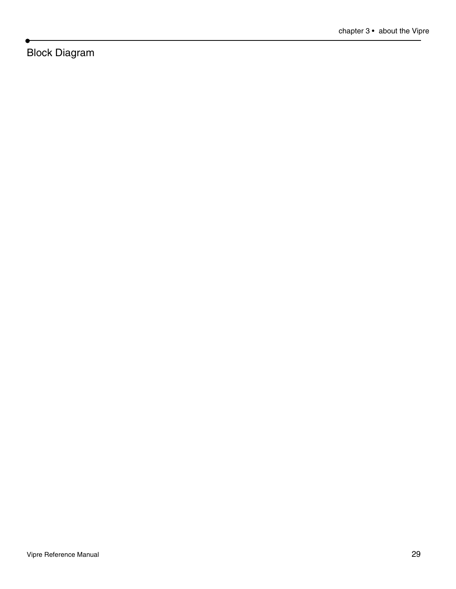Block Diagram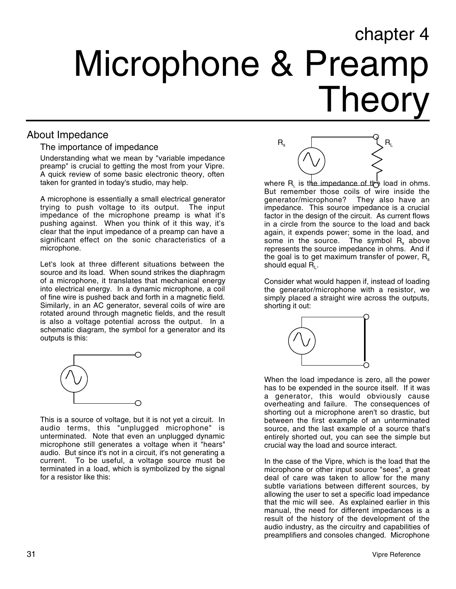# chapter 4 Microphone & Preamp **Theory**

# About Impedance

Understanding what we mean by "variable impedance preamp" is crucial to getting the most from your Vipre. A quick review of some basic electronic theory, often taken for granted in today's studio, may help.

A microphone is essentially a small electrical generator trying to push voltage to its output. The input impedance of the microphone preamp is what it's pushing against. When you think of it this way, it's clear that the input impedance of a preamp can have a significant effect on the sonic characteristics of a microphone.

Let's look at three different situations between the source and its load. When sound strikes the diaphragm of a microphone, it translates that mechanical energy into electrical energy. In a dynamic microphone, a coil of fine wire is pushed back and forth in a magnetic field. Similarly, in an AC generator, several coils of wire are rotated around through magnetic fields, and the result is also a voltage potential across the output. In a schematic diagram, the symbol for a generator and its outputs is this:



This is a source of voltage, but it is not yet a circuit. In audio terms, this "unplugged microphone" is unterminated. Note that even an unplugged dynamic microphone still generates a voltage when it "hears" audio. But since it's not in a circuit, it's not generating a current. To be useful, a voltage source must be terminated in a load, which is symbolized by the signal for a resistor like this:



where R<sub>i</sub> is the impedance of the load in ohms. But remember those coils of wire inside the generator/microphone? They also have an impedance. This source impedance is a crucial factor in the design of the circuit. As current flows in a circle from the source to the load and back again, it expends power; some in the load, and some in the source. The symbol  $R_s$  above represents the source impedance in ohms. And if the goal is to get maximum transfer of power,  $R<sub>s</sub>$ should equal  $\overline{R}_L$ .

Consider what would happen if, instead of loading the generator/microphone with a resistor, we simply placed a straight wire across the outputs, shorting it out:



When the load impedance is zero, all the power has to be expended in the source itself. If it was a generator, this would obviously cause overheating and failure. The consequences of shorting out a microphone aren't so drastic, but between the first example of an unterminated source, and the last example of a source that's entirely shorted out, you can see the simple but crucial way the load and source interact.

In the case of the Vipre, which is the load that the microphone or other input source "sees", a great deal of care was taken to allow for the many subtle variations between different sources, by allowing the user to set a specific load impedance that the mic will see. As explained earlier in this manual, the need for different impedances is a result of the history of the development of the audio industry, as the circuitry and capabilities of preamplifiers and consoles changed. Microphone

The importance of impedance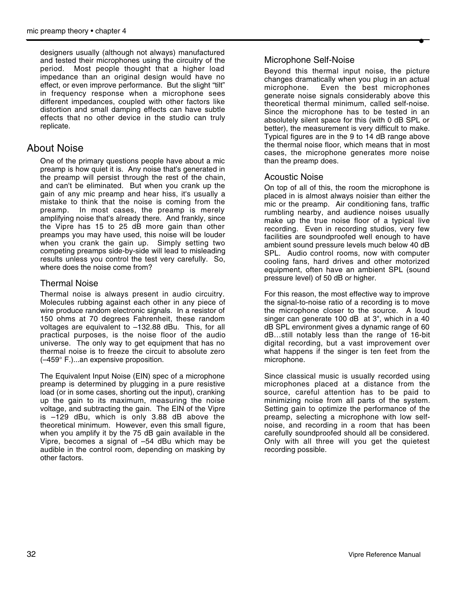designers usually (although not always) manufactured and tested their microphones using the circuitry of the period. Most people thought that a higher load impedance than an original design would have no effect, or even improve performance. But the slight "tilt" in frequency response when a microphone sees different impedances, coupled with other factors like distortion and small damping effects can have subtle effects that no other device in the studio can truly replicate.

## About Noise

One of the primary questions people have about a mic preamp is how quiet it is. Any noise that's generated in the preamp will persist through the rest of the chain, and can't be eliminated. But when you crank up the gain of any mic preamp and hear hiss, it's usually a mistake to think that the noise is coming from the preamp. In most cases, the preamp is merely amplifying noise that's already there. And frankly, since the Vipre has 15 to 25 dB more gain than other preamps you may have used, this noise will be louder when you crank the gain up. Simply setting two competing preamps side-by-side will lead to misleading results unless you control the test very carefully. So, where does the noise come from?

#### Thermal Noise

Thermal noise is always present in audio circuitry. Molecules rubbing against each other in any piece of wire produce random electronic signals. In a resistor of 150 ohms at 70 degrees Fahrenheit, these random voltages are equivalent to –132.88 dBu. This, for all practical purposes, is the noise floor of the audio universe. The only way to get equipment that has no thermal noise is to freeze the circuit to absolute zero (–459° F.)...an expensive proposition.

The Equivalent Input Noise (EIN) spec of a microphone preamp is determined by plugging in a pure resistive load (or in some cases, shorting out the input), cranking up the gain to its maximum, measuring the noise voltage, and subtracting the gain. The EIN of the Vipre is –129 dBu, which is only 3.88 dB above the theoretical minimum. However, even this small figure, when you amplify it by the 75 dB gain available in the Vipre, becomes a signal of –54 dBu which may be audible in the control room, depending on masking by other factors.

### Microphone Self-Noise

Beyond this thermal input noise, the picture changes dramatically when you plug in an actual microphone. Even the best microphones generate noise signals considerably above this theoretical thermal minimum, called self-noise. Since the microphone has to be tested in an absolutely silent space for this (with 0 dB SPL or better), the measurement is very difficult to make. Typical figures are in the 9 to 14 dB range above the thermal noise floor, which means that in most cases, the microphone generates more noise than the preamp does.

#### Acoustic Noise

On top of all of this, the room the microphone is placed in is almost always noisier than either the mic or the preamp. Air conditioning fans, traffic rumbling nearby, and audience noises usually make up the true noise floor of a typical live recording. Even in recording studios, very few facilities are soundproofed well enough to have ambient sound pressure levels much below 40 dB SPL. Audio control rooms, now with computer cooling fans, hard drives and other motorized equipment, often have an ambient SPL (sound pressure level) of 50 dB or higher.

For this reason, the most effective way to improve the signal-to-noise ratio of a recording is to move the microphone closer to the source. A loud singer can generate 100 dB at 3", which in a 40 dB SPL environment gives a dynamic range of 60 dB…still notably less than the range of 16-bit digital recording, but a vast improvement over what happens if the singer is ten feet from the microphone.

Since classical music is usually recorded using microphones placed at a distance from the source, careful attention has to be paid to minimizing noise from all parts of the system. Setting gain to optimize the performance of the preamp, selecting a microphone with low selfnoise, and recording in a room that has been carefully soundproofed should all be considered. Only with all three will you get the quietest recording possible.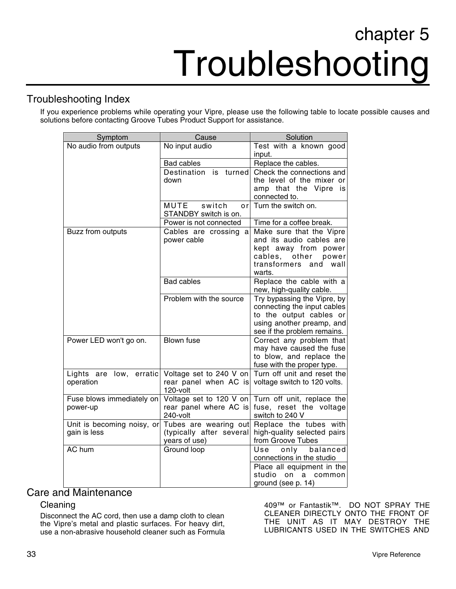# chapter 5 Troubleshooting

# Troubleshooting Index

If you experience problems while operating your Vipre, please use the following table to locate possible causes and solutions before contacting Groove Tubes Product Support for assistance.

| Symptom                                    | Cause                                                              | Solution                                                                                                                                           |
|--------------------------------------------|--------------------------------------------------------------------|----------------------------------------------------------------------------------------------------------------------------------------------------|
| No audio from outputs                      | No input audio                                                     | Test with a known good<br>input.                                                                                                                   |
|                                            | <b>Bad cables</b>                                                  | Replace the cables.                                                                                                                                |
|                                            | Destination is<br>turned<br>down                                   | Check the connections and<br>the level of the mixer or<br>amp that the Vipre is<br>connected to.                                                   |
|                                            | switch<br>MUTE<br>0r<br>STANDBY switch is on.                      | Turn the switch on.                                                                                                                                |
|                                            | Power is not connected                                             | Time for a coffee break.                                                                                                                           |
| Buzz from outputs                          | Cables are crossing a<br>power cable                               | Make sure that the Vipre<br>and its audio cables are<br>kept away from power<br>cables,<br>other<br>power<br>transformers<br>wall<br>and<br>warts. |
|                                            | <b>Bad cables</b>                                                  | Replace the cable with a<br>new, high-quality cable.                                                                                               |
|                                            | Problem with the source                                            | Try bypassing the Vipre, by<br>connecting the input cables<br>to the output cables or<br>using another preamp, and<br>see if the problem remains.  |
| Power LED won't go on.                     | <b>Blown fuse</b>                                                  | Correct any problem that<br>may have caused the fuse<br>to blow, and replace the<br>fuse with the proper type.                                     |
| Lights are low, erratic<br>operation       | Voltage set to 240 V on<br>rear panel when AC is<br>120-volt       | Turn off unit and reset the<br>voltage switch to 120 volts.                                                                                        |
| Fuse blows immediately on<br>power-up      | Voltage set to 120 V on<br>rear panel where AC is<br>240-volt      | Turn off unit, replace the<br>fuse, reset the voltage<br>switch to 240 V                                                                           |
| Unit is becoming noisy, or<br>gain is less | Tubes are wearing out<br>(typically after several<br>years of use) | Replace the tubes with<br>high-quality selected pairs<br>from Groove Tubes                                                                         |
| AC hum                                     | Ground loop                                                        | Use<br>only<br>balanced<br>connections in the studio<br>Place all equipment in the<br>studio<br>on<br>common<br>a<br>ground (see p. 14)            |

# Care and Maintenance

#### Cleaning

Disconnect the AC cord, then use a damp cloth to clean the Vipre's metal and plastic surfaces. For heavy dirt, use a non-abrasive household cleaner such as Formula 409™ or Fantastik™. DO NOT SPRAY THE CLEANER DIRECTLY ONTO THE FRONT OF THE UNIT AS IT MAY DESTROY THE LUBRICANTS USED IN THE SWITCHES AND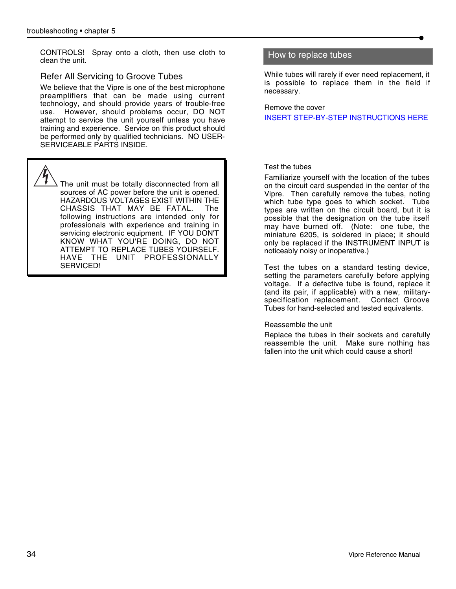CONTROLS! Spray onto a cloth, then use cloth to clean the unit.

#### Refer All Servicing to Groove Tubes

We believe that the Vipre is one of the best microphone preamplifiers that can be made using current technology, and should provide years of trouble-free use. However, should problems occur, DO NOT attempt to service the unit yourself unless you have training and experience. Service on this product should be performed only by qualified technicians. NO USER-SERVICEABLE PARTS INSIDE.



The unit must be totally disconnected from all sources of AC power before the unit is opened. HAZARDOUS VOLTAGES EXIST WITHIN THE CHASSIS THAT MAY BE FATAL. The following instructions are intended only for professionals with experience and training in servicing electronic equipment. IF YOU DON'T KNOW WHAT YOU'RE DOING, DO NOT ATTEMPT TO REPLACE TUBES YOURSELF. HAVE THE UNIT PROFESSIONALLY **SERVICED!** 

#### How to replace tubes

While tubes will rarely if ever need replacement, it is possible to replace them in the field if necessary.

Remove the cover

INSERT STEP-BY-STEP INSTRUCTIONS HERE

#### Test the tubes

Familiarize yourself with the location of the tubes on the circuit card suspended in the center of the Vipre. Then carefully remove the tubes, noting which tube type goes to which socket. Tube types are written on the circuit board, but it is possible that the designation on the tube itself may have burned off. (Note: one tube, the miniature 6205, is soldered in place; it should only be replaced if the INSTRUMENT INPUT is noticeably noisy or inoperative.)

Test the tubes on a standard testing device, setting the parameters carefully before applying voltage. If a defective tube is found, replace it (and its pair, if applicable) with a new, militaryspecification replacement. Contact Groove Tubes for hand-selected and tested equivalents.

#### Reassemble the unit

Replace the tubes in their sockets and carefully reassemble the unit. Make sure nothing has fallen into the unit which could cause a short!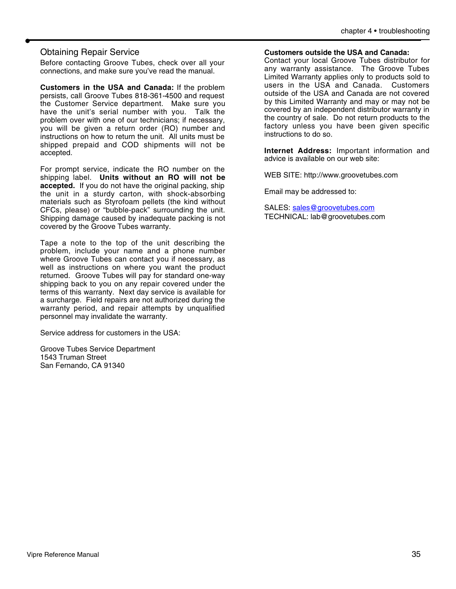#### Obtaining Repair Service

Before contacting Groove Tubes, check over all your connections, and make sure you've read the manual.

**Customers in the USA and Canada:** If the problem persists, call Groove Tubes 818-361-4500 and request the Customer Service department. Make sure you have the unit's serial number with you. Talk the problem over with one of our technicians; if necessary, you will be given a return order (RO) number and instructions on how to return the unit. All units must be shipped prepaid and COD shipments will not be accepted.

For prompt service, indicate the RO number on the shipping label. **Units without an RO will not be accepted.** If you do not have the original packing, ship the unit in a sturdy carton, with shock-absorbing materials such as Styrofoam pellets (the kind without CFCs, please) or "bubble-pack" surrounding the unit. Shipping damage caused by inadequate packing is not covered by the Groove Tubes warranty.

Tape a note to the top of the unit describing the problem, include your name and a phone number where Groove Tubes can contact you if necessary, as well as instructions on where you want the product returned. Groove Tubes will pay for standard one-way shipping back to you on any repair covered under the terms of this warranty. Next day service is available for a surcharge. Field repairs are not authorized during the warranty period, and repair attempts by unqualified personnel may invalidate the warranty.

Service address for customers in the USA:

Groove Tubes Service Department 1543 Truman Street San Fernando, CA 91340

#### **Customers outside the USA and Canada:**

Contact your local Groove Tubes distributor for any warranty assistance. The Groove Tubes Limited Warranty applies only to products sold to users in the USA and Canada. Customers outside of the USA and Canada are not covered by this Limited Warranty and may or may not be covered by an independent distributor warranty in the country of sale. Do not return products to the factory unless you have been given specific instructions to do so.

**Internet Address:** Important information and advice is available on our web site:

WEB SITE: http://www.groovetubes.com

Email may be addressed to:

SALES: sales@groovetubes.com TECHNICAL: lab@groovetubes.com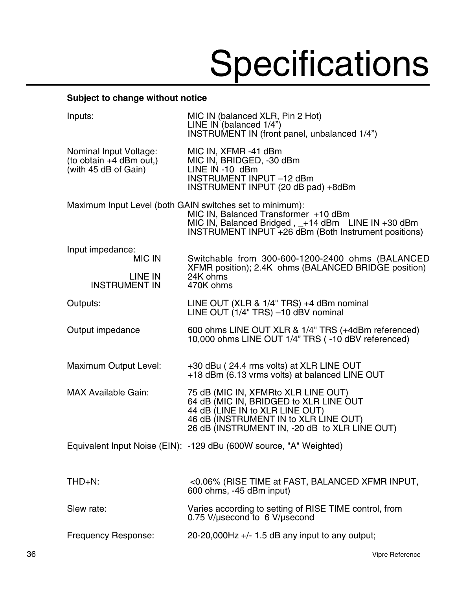# Specifications

### **Subject to change without notice**

| Inputs:                                                                     | MIC IN (balanced XLR, Pin 2 Hot)<br>LINE IN (balanced 1/4")<br>INSTRUMENT IN (front panel, unbalanced 1/4")                                                                                                       |  |  |  |  |
|-----------------------------------------------------------------------------|-------------------------------------------------------------------------------------------------------------------------------------------------------------------------------------------------------------------|--|--|--|--|
| Nominal Input Voltage:<br>(to obtain $+4$ dBm out,)<br>(with 45 dB of Gain) | MIC IN, XFMR -41 dBm<br>MIC IN, BRIDGED, -30 dBm<br>LINE IN -10 dBm<br>INSTRUMENT INPUT-12 dBm<br>INSTRUMENT INPUT (20 dB pad) +8dBm                                                                              |  |  |  |  |
|                                                                             | Maximum Input Level (both GAIN switches set to minimum):<br>MIC IN, Balanced Transformer +10 dBm<br>MIC IN, Balanced Bridged, _+14 dBm    LINE IN +30 dBm<br>INSTRUMENT INPUT +26 dBm (Both Instrument positions) |  |  |  |  |
| Input impedance:<br><b>MIC IN</b>                                           | Switchable from 300-600-1200-2400 ohms (BALANCED                                                                                                                                                                  |  |  |  |  |
| LINE IN<br><b>INSTRUMENT IN</b>                                             | XFMR position); 2.4K ohms (BALANCED BRIDGE position)<br>24K ohms<br>470K ohms                                                                                                                                     |  |  |  |  |
| Outputs:                                                                    | LINE OUT (XLR & 1/4" TRS) +4 dBm nominal<br>LINE OUT (1/4" TRS) -10 dBV nominal                                                                                                                                   |  |  |  |  |
| Output impedance                                                            | 600 ohms LINE OUT XLR & 1/4" TRS (+4dBm referenced)<br>10,000 ohms LINE OUT 1/4" TRS (-10 dBV referenced)                                                                                                         |  |  |  |  |
| Maximum Output Level:                                                       | +30 dBu (24.4 rms volts) at XLR LINE OUT<br>+18 dBm (6.13 vrms volts) at balanced LINE OUT                                                                                                                        |  |  |  |  |
| <b>MAX Available Gain:</b>                                                  | 75 dB (MIC IN, XFMRto XLR LINE OUT)<br>64 dB (MIC IN, BRIDGED to XLR LINE OUT<br>44 dB (LINE IN to XLR LINE OUT)<br>46 dB (INSTRUMENT IN to XLR LINE OUT)<br>26 dB (INSTRUMENT IN, -20 dB to XLR LINE OUT)        |  |  |  |  |
|                                                                             | Equivalent Input Noise (EIN): -129 dBu (600W source, "A" Weighted)                                                                                                                                                |  |  |  |  |
|                                                                             |                                                                                                                                                                                                                   |  |  |  |  |
| $THD + N$ :                                                                 | <0.06% (RISE TIME at FAST, BALANCED XFMR INPUT,<br>600 ohms, -45 dBm input)                                                                                                                                       |  |  |  |  |
| Slew rate:                                                                  | Varies according to setting of RISE TIME control, from<br>0.75 V/usecond to 6 V/usecond                                                                                                                           |  |  |  |  |
| <b>Frequency Response:</b>                                                  | 20-20,000Hz $+/-$ 1.5 dB any input to any output;                                                                                                                                                                 |  |  |  |  |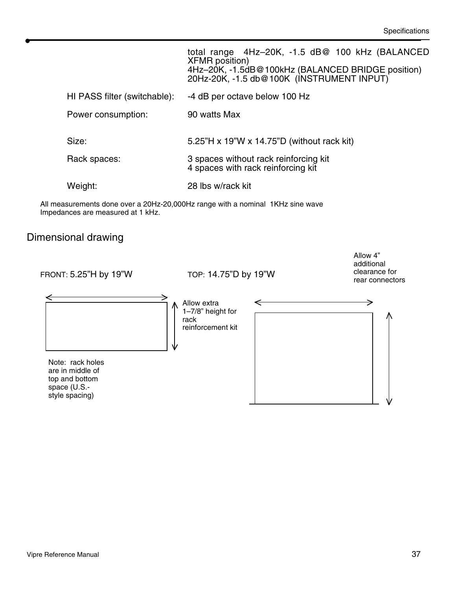|                              | total range 4Hz-20K, -1.5 dB@ 100 kHz (BALANCED<br><b>XFMR</b> position)<br>4Hz-20K, -1.5dB@100kHz (BALANCED BRIDGE position)<br>20Hz-20K, -1.5 db@100K (INSTRUMENT INPUT) |
|------------------------------|----------------------------------------------------------------------------------------------------------------------------------------------------------------------------|
| HI PASS filter (switchable): | -4 dB per octave below 100 Hz                                                                                                                                              |
| Power consumption:           | 90 watts Max                                                                                                                                                               |
| Size:                        | 5.25"H x 19"W x 14.75"D (without rack kit)                                                                                                                                 |
| Rack spaces:                 | 3 spaces without rack reinforcing kit<br>4 spaces with rack reinforcing kit                                                                                                |
| Weight:                      | 28 lbs w/rack kit                                                                                                                                                          |

All measurements done over a 20Hz-20,000Hz range with a nominal 1KHz sine wave Impedances are measured at 1 kHz.

Dimensional drawing

style spacing)

FRONT: 5.25"H by 19"W TOP: 14.75"D by 19"W

Allow 4" additional clearance for rear connectors

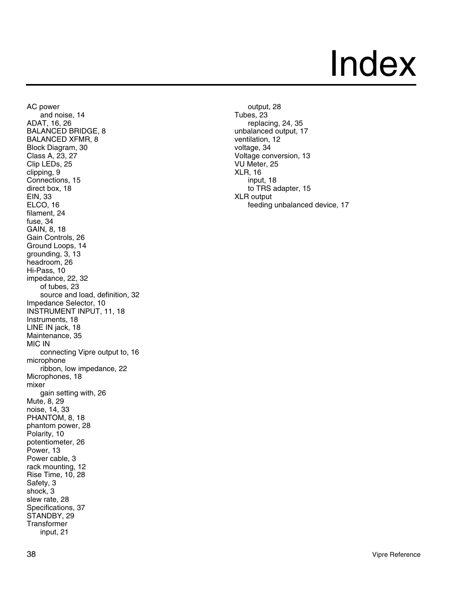# Index

AC power and noise, 14 ADAT, 16, 26 BALANCED BRIDGE, 8 BALANCED XFMR, 8 Block Diagram, 30 Class A, 23, 27 Clip LEDs, 25 clipping, 9 Connections, 15 direct box, 18 EIN, 33 ELCO, 16 filament, 24 fuse, 34 GAIN, 8, 18 Gain Controls, 26 Ground Loops, 14 grounding, 3, 13 headroom, 26 Hi-Pass, 10 impedance, 22, 32 of tubes, 23 source and load, definition, 32 Impedance Selector, 10 INSTRUMENT INPUT, 11, 18 Instruments, 18 LINE IN jack, 18 Maintenance, 35 MIC IN connecting Vipre output to, 16 microphone ribbon, low impedance, 22 Microphones, 18 mixer gain setting with, 26 Mute, 8, 29 noise, 14, 33 PHANTOM, 8, 18 phantom power, 28 Polarity, 10 potentiometer, 26 Power, 13 Power cable, 3 rack mounting, 12 Rise Time, 10, 28 Safety, 3 shock, 3 slew rate, 28 Specifications, 37 STANDBY, 29 Transformer input, 21

output, 28 Tubes, 23 replacing, 24, 35 unbalanced output, 17 ventilation, 12 voltage, 34 Voltage conversion, 13 VU Meter, 25 XLR, 16 input, 18 to TRS adapter, 15 XLR output feeding unbalanced device, 17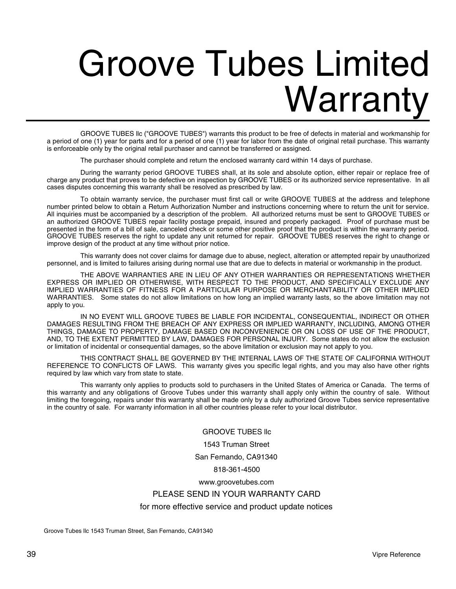# Groove Tubes Limited **Warranty**

GROOVE TUBES llc ("GROOVE TUBES") warrants this product to be free of defects in material and workmanship for a period of one (1) year for parts and for a period of one (1) year for labor from the date of original retail purchase. This warranty is enforceable only by the original retail purchaser and cannot be transferred or assigned.

The purchaser should complete and return the enclosed warranty card within 14 days of purchase.

During the warranty period GROOVE TUBES shall, at its sole and absolute option, either repair or replace free of charge any product that proves to be defective on inspection by GROOVE TUBES or its authorized service representative. In all cases disputes concerning this warranty shall be resolved as prescribed by law.

To obtain warranty service, the purchaser must first call or write GROOVE TUBES at the address and telephone number printed below to obtain a Return Authorization Number and instructions concerning where to return the unit for service. All inquiries must be accompanied by a description of the problem. All authorized returns must be sent to GROOVE TUBES or an authorized GROOVE TUBES repair facility postage prepaid, insured and properly packaged. Proof of purchase must be presented in the form of a bill of sale, canceled check or some other positive proof that the product is within the warranty period. GROOVE TUBES reserves the right to update any unit returned for repair. GROOVE TUBES reserves the right to change or improve design of the product at any time without prior notice.

This warranty does not cover claims for damage due to abuse, neglect, alteration or attempted repair by unauthorized personnel, and is limited to failures arising during normal use that are due to defects in material or workmanship in the product.

THE ABOVE WARRANTIES ARE IN LIEU OF ANY OTHER WARRANTIES OR REPRESENTATIONS WHETHER EXPRESS OR IMPLIED OR OTHERWISE, WITH RESPECT TO THE PRODUCT, AND SPECIFICALLY EXCLUDE ANY IMPLIED WARRANTIES OF FITNESS FOR A PARTICULAR PURPOSE OR MERCHANTABILITY OR OTHER IMPLIED WARRANTIES. Some states do not allow limitations on how long an implied warranty lasts, so the above limitation may not apply to you.

IN NO EVENT WILL GROOVE TUBES BE LIABLE FOR INCIDENTAL, CONSEQUENTIAL, INDIRECT OR OTHER DAMAGES RESULTING FROM THE BREACH OF ANY EXPRESS OR IMPLIED WARRANTY, INCLUDING, AMONG OTHER THINGS, DAMAGE TO PROPERTY, DAMAGE BASED ON INCONVENIENCE OR ON LOSS OF USE OF THE PRODUCT, AND, TO THE EXTENT PERMITTED BY LAW, DAMAGES FOR PERSONAL INJURY. Some states do not allow the exclusion or limitation of incidental or consequential damages, so the above limitation or exclusion may not apply to you.

THIS CONTRACT SHALL BE GOVERNED BY THE INTERNAL LAWS OF THE STATE OF CALIFORNIA WITHOUT REFERENCE TO CONFLICTS OF LAWS. This warranty gives you specific legal rights, and you may also have other rights required by law which vary from state to state.

This warranty only applies to products sold to purchasers in the United States of America or Canada. The terms of this warranty and any obligations of Groove Tubes under this warranty shall apply only within the country of sale. Without limiting the foregoing, repairs under this warranty shall be made only by a duly authorized Groove Tubes service representative in the country of sale. For warranty information in all other countries please refer to your local distributor.

> GROOVE TUBES llc 1543 Truman Street San Fernando, CA91340 818-361-4500 www.groovetubes.com PLEASE SEND IN YOUR WARRANTY CARD

#### for more effective service and product update notices

Groove Tubes llc 1543 Truman Street, San Fernando, CA91340